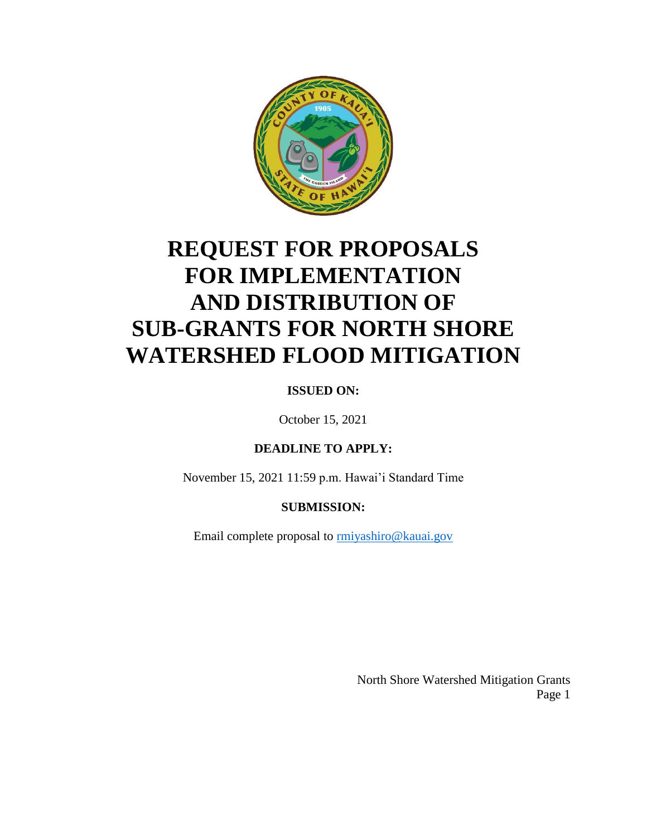

## **REQUEST FOR PROPOSALS FOR IMPLEMENTATION AND DISTRIBUTION OF SUB-GRANTS FOR NORTH SHORE WATERSHED FLOOD MITIGATION**

### **ISSUED ON:**

October 15, 2021

#### **DEADLINE TO APPLY:**

November 15, 2021 11:59 p.m. Hawai'i Standard Time

#### **SUBMISSION:**

Email complete proposal to [rmiyashiro@kauai.gov](mailto:rmiyashiro@kauai.gov)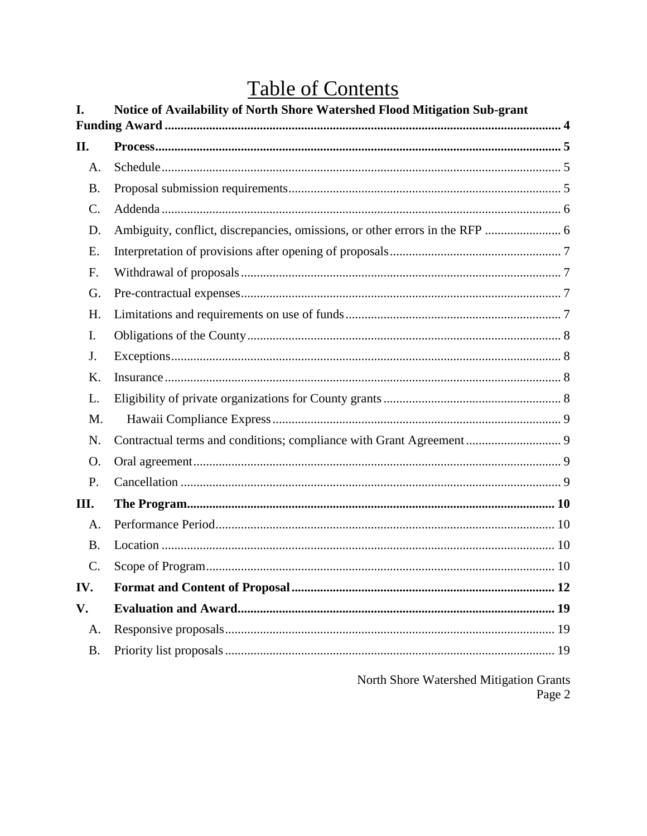## **Table of Contents**

| I.        | Notice of Availability of North Shore Watershed Flood Mitigation Sub-grant |
|-----------|----------------------------------------------------------------------------|
|           |                                                                            |
| П.        |                                                                            |
| A.        |                                                                            |
| <b>B.</b> |                                                                            |
| C.        |                                                                            |
| D.        |                                                                            |
| E.        |                                                                            |
| F.        |                                                                            |
| G.        |                                                                            |
| H.        |                                                                            |
| I.        |                                                                            |
| J.        |                                                                            |
| Κ.        |                                                                            |
| L.        |                                                                            |
| M.        |                                                                            |
| N.        |                                                                            |
| O.        |                                                                            |
| P.        |                                                                            |
| III.      |                                                                            |
| A.        |                                                                            |
| <b>B.</b> |                                                                            |
| C.        |                                                                            |
| IV.       |                                                                            |
| V.        |                                                                            |
| A.        |                                                                            |
| <b>B.</b> |                                                                            |
|           | North Shore Watershed Mitigation Grants                                    |

Page 2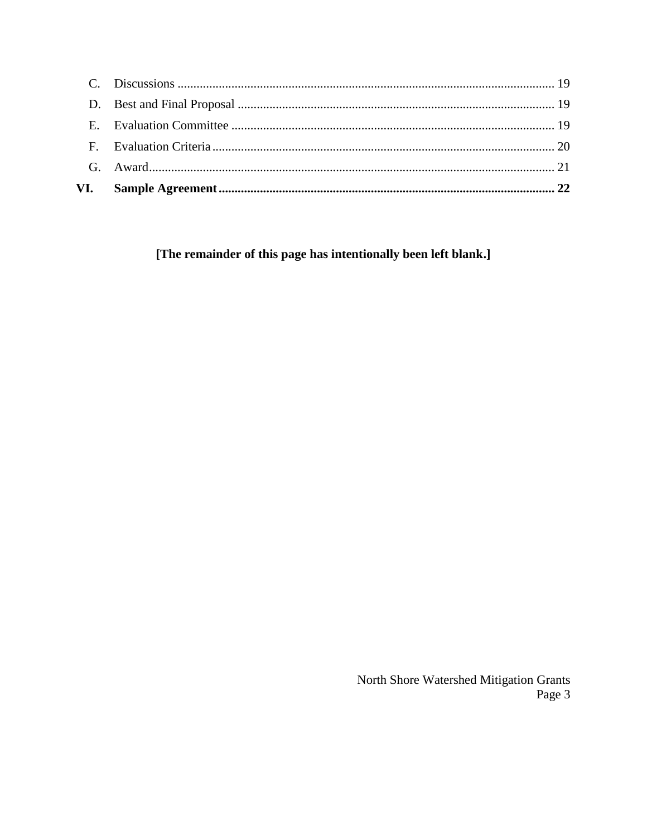[The remainder of this page has intentionally been left blank.]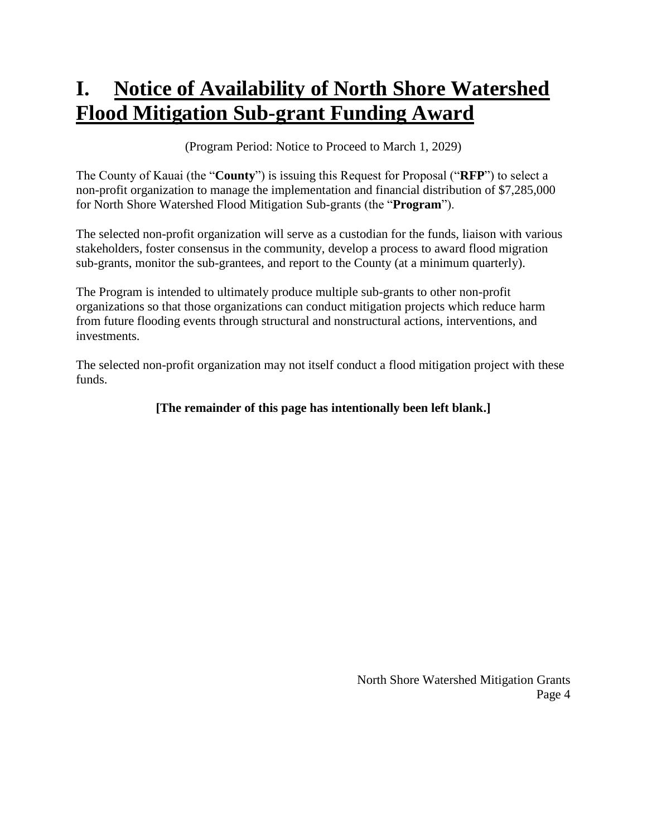## <span id="page-3-0"></span>**I. Notice of Availability of North Shore Watershed Flood Mitigation Sub-grant Funding Award**

(Program Period: Notice to Proceed to March 1, 2029)

The County of Kauai (the "**County**") is issuing this Request for Proposal ("**RFP**") to select a non-profit organization to manage the implementation and financial distribution of \$7,285,000 for North Shore Watershed Flood Mitigation Sub-grants (the "**Program**").

The selected non-profit organization will serve as a custodian for the funds, liaison with various stakeholders, foster consensus in the community, develop a process to award flood migration sub-grants, monitor the sub-grantees, and report to the County (at a minimum quarterly).

The Program is intended to ultimately produce multiple sub-grants to other non-profit organizations so that those organizations can conduct mitigation projects which reduce harm from future flooding events through structural and nonstructural actions, interventions, and investments.

The selected non-profit organization may not itself conduct a flood mitigation project with these funds.

### **[The remainder of this page has intentionally been left blank.]**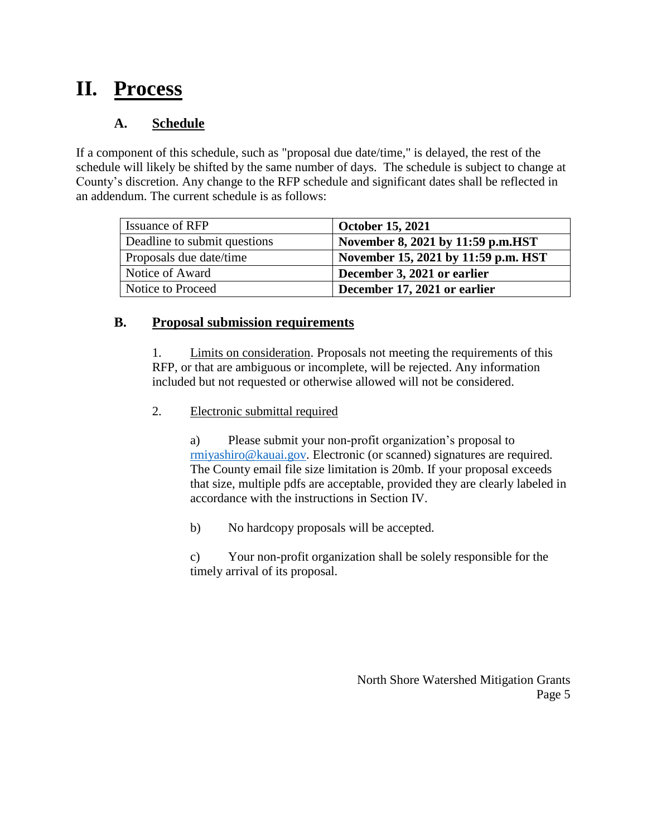## <span id="page-4-0"></span>**II. Process**

### **A. Schedule**

<span id="page-4-1"></span>If a component of this schedule, such as "proposal due date/time," is delayed, the rest of the schedule will likely be shifted by the same number of days. The schedule is subject to change at County's discretion. Any change to the RFP schedule and significant dates shall be reflected in an addendum. The current schedule is as follows:

| <b>Issuance of RFP</b>       | <b>October 15, 2021</b>             |
|------------------------------|-------------------------------------|
| Deadline to submit questions | November 8, 2021 by 11:59 p.m.HST   |
| Proposals due date/time      | November 15, 2021 by 11:59 p.m. HST |
| Notice of Award              | December 3, 2021 or earlier         |
| Notice to Proceed            | December 17, 2021 or earlier        |

### <span id="page-4-2"></span>**B. Proposal submission requirements**

1. Limits on consideration. Proposals not meeting the requirements of this RFP, or that are ambiguous or incomplete, will be rejected. Any information included but not requested or otherwise allowed will not be considered.

2. Electronic submittal required

a) Please submit your non-profit organization's proposal to [rmiyashiro@kauai.gov.](mailto:rmiyashiro@kauai.gov) Electronic (or scanned) signatures are required. The County email file size limitation is 20mb. If your proposal exceeds that size, multiple pdfs are acceptable, provided they are clearly labeled in accordance with the instructions in Section IV.

b) No hardcopy proposals will be accepted.

c) Your non-profit organization shall be solely responsible for the timely arrival of its proposal.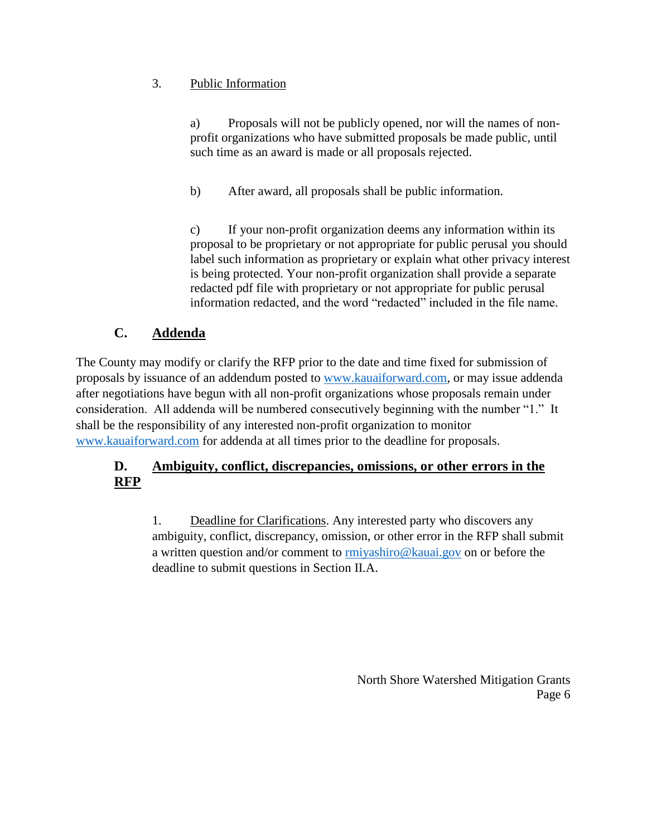### 3. Public Information

a) Proposals will not be publicly opened, nor will the names of nonprofit organizations who have submitted proposals be made public, until such time as an award is made or all proposals rejected.

b) After award, all proposals shall be public information.

c) If your non-profit organization deems any information within its proposal to be proprietary or not appropriate for public perusal you should label such information as proprietary or explain what other privacy interest is being protected. Your non-profit organization shall provide a separate redacted pdf file with proprietary or not appropriate for public perusal information redacted, and the word "redacted" included in the file name.

### **C. Addenda**

<span id="page-5-0"></span>The County may modify or clarify the RFP prior to the date and time fixed for submission of proposals by issuance of an addendum posted to [www.kauaiforward.com,](http://www.kauaiforward.com/) or may issue addenda after negotiations have begun with all non-profit organizations whose proposals remain under consideration. All addenda will be numbered consecutively beginning with the number "1." It shall be the responsibility of any interested non-profit organization to monitor [www.kauaiforward.com](http://www.kauaiforward.com/) for addenda at all times prior to the deadline for proposals.

### <span id="page-5-1"></span>**D. Ambiguity, conflict, discrepancies, omissions, or other errors in the RFP**

1. Deadline for Clarifications. Any interested party who discovers any ambiguity, conflict, discrepancy, omission, or other error in the RFP shall submit a written question and/or comment to [rmiyashiro@kauai.gov](mailto:rmiyashiro@kauai.gov) on or before the deadline to submit questions in Section II.A.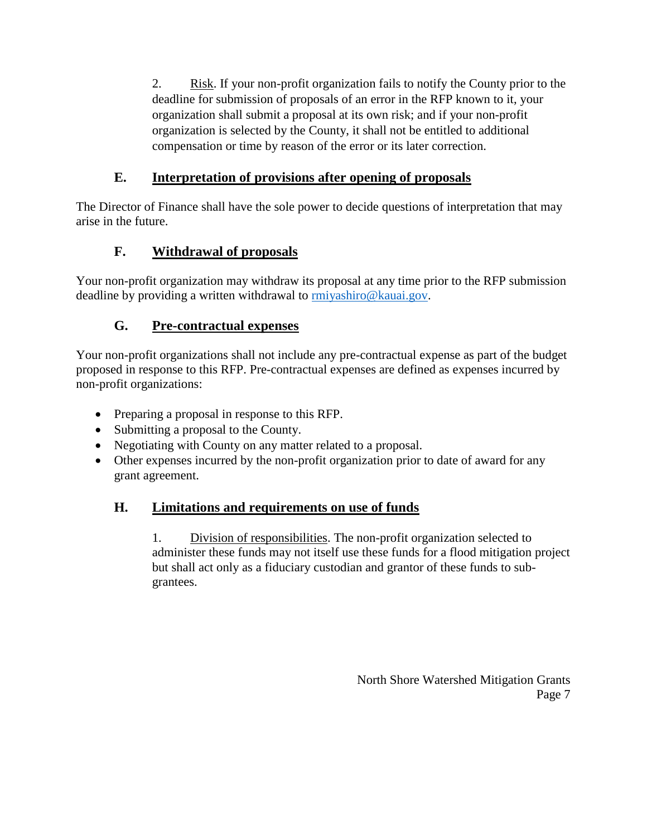2. Risk. If your non-profit organization fails to notify the County prior to the deadline for submission of proposals of an error in the RFP known to it, your organization shall submit a proposal at its own risk; and if your non-profit organization is selected by the County, it shall not be entitled to additional compensation or time by reason of the error or its later correction.

### **E. Interpretation of provisions after opening of proposals**

<span id="page-6-0"></span>The Director of Finance shall have the sole power to decide questions of interpretation that may arise in the future.

### **F. Withdrawal of proposals**

<span id="page-6-1"></span>Your non-profit organization may withdraw its proposal at any time prior to the RFP submission deadline by providing a written withdrawal to **rmiyashiro@kauai.gov**.

### **G. Pre-contractual expenses**

<span id="page-6-2"></span>Your non-profit organizations shall not include any pre-contractual expense as part of the budget proposed in response to this RFP. Pre-contractual expenses are defined as expenses incurred by non-profit organizations:

- Preparing a proposal in response to this RFP.
- Submitting a proposal to the County.
- Negotiating with County on any matter related to a proposal.
- Other expenses incurred by the non-profit organization prior to date of award for any grant agreement.

### <span id="page-6-3"></span>**H. Limitations and requirements on use of funds**

1. Division of responsibilities. The non-profit organization selected to administer these funds may not itself use these funds for a flood mitigation project but shall act only as a fiduciary custodian and grantor of these funds to subgrantees.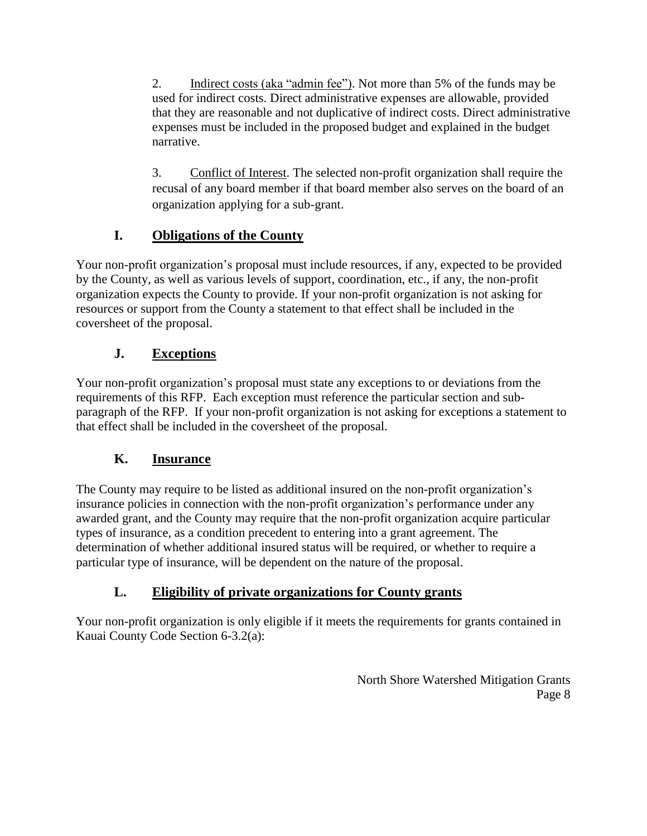2. Indirect costs (aka "admin fee"). Not more than 5% of the funds may be used for indirect costs. Direct administrative expenses are allowable, provided that they are reasonable and not duplicative of indirect costs. Direct administrative expenses must be included in the proposed budget and explained in the budget narrative.

3. Conflict of Interest. The selected non-profit organization shall require the recusal of any board member if that board member also serves on the board of an organization applying for a sub-grant.

### **I. Obligations of the County**

<span id="page-7-0"></span>Your non-profit organization's proposal must include resources, if any, expected to be provided by the County, as well as various levels of support, coordination, etc., if any, the non-profit organization expects the County to provide. If your non-profit organization is not asking for resources or support from the County a statement to that effect shall be included in the coversheet of the proposal.

### **J. Exceptions**

<span id="page-7-1"></span>Your non-profit organization's proposal must state any exceptions to or deviations from the requirements of this RFP. Each exception must reference the particular section and subparagraph of the RFP. If your non-profit organization is not asking for exceptions a statement to that effect shall be included in the coversheet of the proposal.

### **K. Insurance**

<span id="page-7-2"></span>The County may require to be listed as additional insured on the non-profit organization's insurance policies in connection with the non-profit organization's performance under any awarded grant, and the County may require that the non-profit organization acquire particular types of insurance, as a condition precedent to entering into a grant agreement. The determination of whether additional insured status will be required, or whether to require a particular type of insurance, will be dependent on the nature of the proposal.

### **L. Eligibility of private organizations for County grants**

<span id="page-7-3"></span>Your non-profit organization is only eligible if it meets the requirements for grants contained in Kauai County Code Section 6-3.2(a):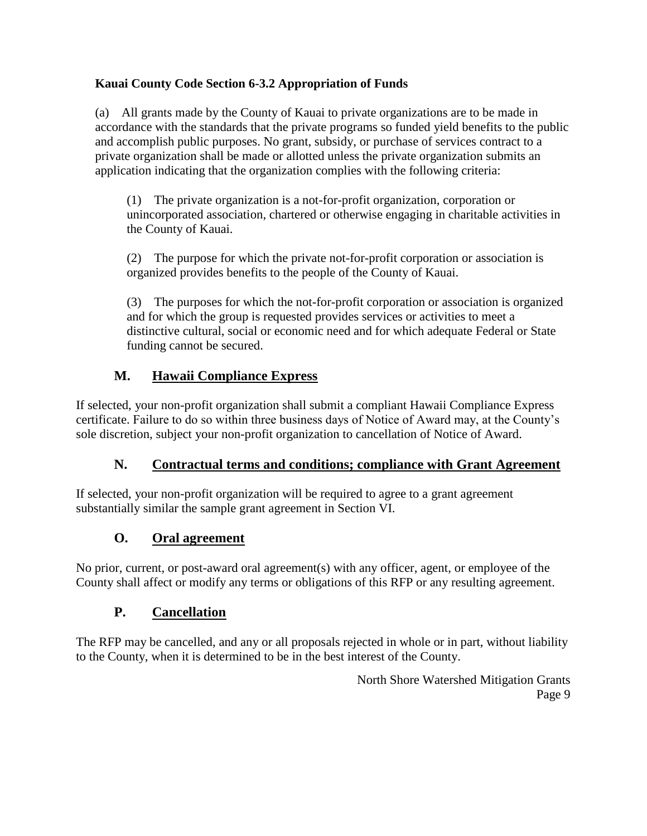### **Kauai County Code Section 6-3.2 Appropriation of Funds**

(a) All grants made by the County of Kauai to private organizations are to be made in accordance with the standards that the private programs so funded yield benefits to the public and accomplish public purposes. No grant, subsidy, or purchase of services contract to a private organization shall be made or allotted unless the private organization submits an application indicating that the organization complies with the following criteria:

(1) The private organization is a not-for-profit organization, corporation or unincorporated association, chartered or otherwise engaging in charitable activities in the County of Kauai.

(2) The purpose for which the private not-for-profit corporation or association is organized provides benefits to the people of the County of Kauai.

(3) The purposes for which the not-for-profit corporation or association is organized and for which the group is requested provides services or activities to meet a distinctive cultural, social or economic need and for which adequate Federal or State funding cannot be secured.

### **M. Hawaii Compliance Express**

<span id="page-8-0"></span>If selected, your non-profit organization shall submit a compliant Hawaii Compliance Express certificate. Failure to do so within three business days of Notice of Award may, at the County's sole discretion, subject your non-profit organization to cancellation of Notice of Award.

### **N. Contractual terms and conditions; compliance with Grant Agreement**

<span id="page-8-1"></span>If selected, your non-profit organization will be required to agree to a grant agreement substantially similar the sample grant agreement in Section VI.

### **O. Oral agreement**

<span id="page-8-2"></span>No prior, current, or post-award oral agreement(s) with any officer, agent, or employee of the County shall affect or modify any terms or obligations of this RFP or any resulting agreement.

### **P. Cancellation**

<span id="page-8-3"></span>The RFP may be cancelled, and any or all proposals rejected in whole or in part, without liability to the County, when it is determined to be in the best interest of the County.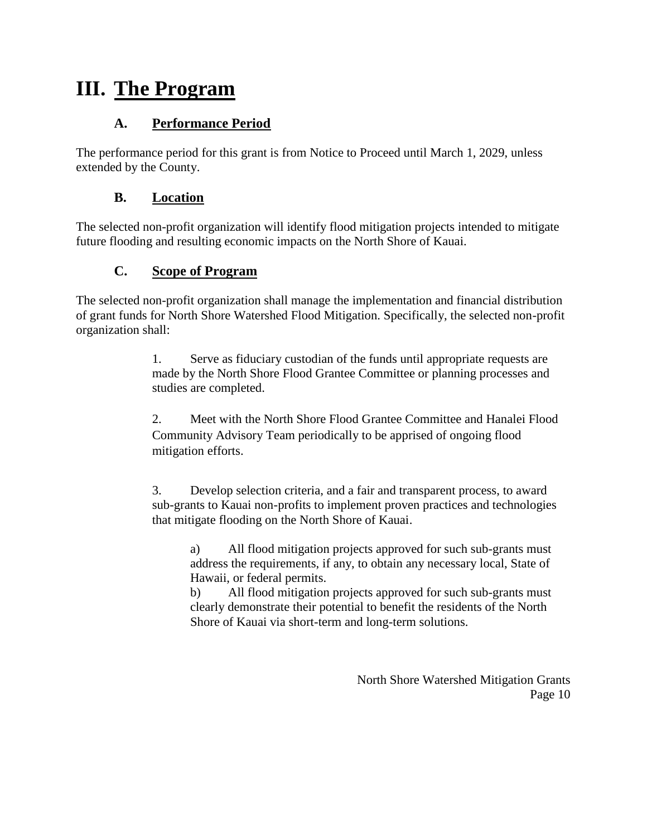## <span id="page-9-0"></span>**III. The Program**

### **A. Performance Period**

<span id="page-9-1"></span>The performance period for this grant is from Notice to Proceed until March 1, 2029, unless extended by the County.

### **B. Location**

<span id="page-9-2"></span>The selected non-profit organization will identify flood mitigation projects intended to mitigate future flooding and resulting economic impacts on the North Shore of Kauai.

### **C. Scope of Program**

<span id="page-9-3"></span>The selected non-profit organization shall manage the implementation and financial distribution of grant funds for North Shore Watershed Flood Mitigation. Specifically, the selected non-profit organization shall:

> 1. Serve as fiduciary custodian of the funds until appropriate requests are made by the North Shore Flood Grantee Committee or planning processes and studies are completed.

2. Meet with the North Shore Flood Grantee Committee and Hanalei Flood Community Advisory Team periodically to be apprised of ongoing flood mitigation efforts.

3. Develop selection criteria, and a fair and transparent process, to award sub-grants to Kauai non-profits to implement proven practices and technologies that mitigate flooding on the North Shore of Kauai.

a) All flood mitigation projects approved for such sub-grants must address the requirements, if any, to obtain any necessary local, State of Hawaii, or federal permits.

b) All flood mitigation projects approved for such sub-grants must clearly demonstrate their potential to benefit the residents of the North Shore of Kauai via short-term and long-term solutions.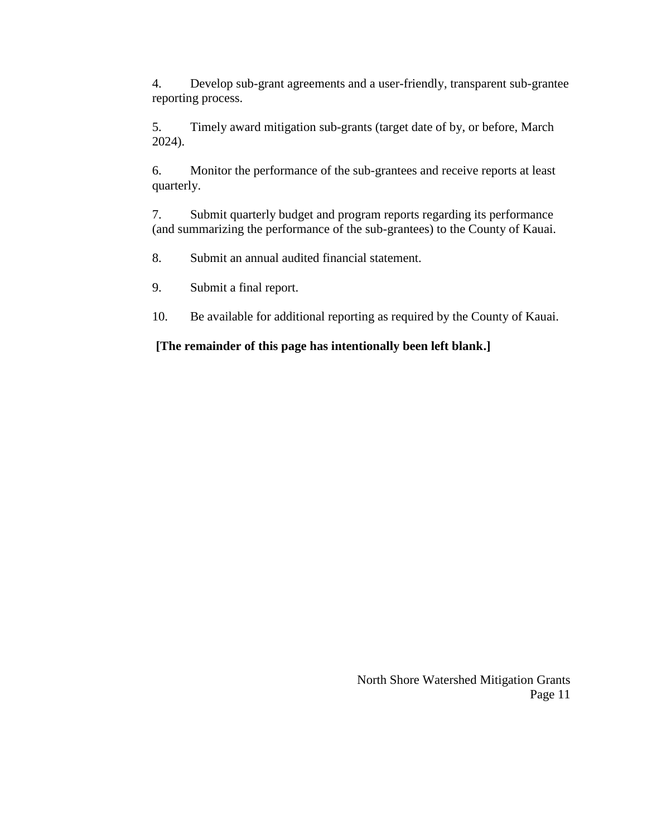4. Develop sub-grant agreements and a user-friendly, transparent sub-grantee reporting process.

5. Timely award mitigation sub-grants (target date of by, or before, March 2024).

6. Monitor the performance of the sub-grantees and receive reports at least quarterly.

7. Submit quarterly budget and program reports regarding its performance (and summarizing the performance of the sub-grantees) to the County of Kauai.

8. Submit an annual audited financial statement.

9. Submit a final report.

10. Be available for additional reporting as required by the County of Kauai.

**[The remainder of this page has intentionally been left blank.]**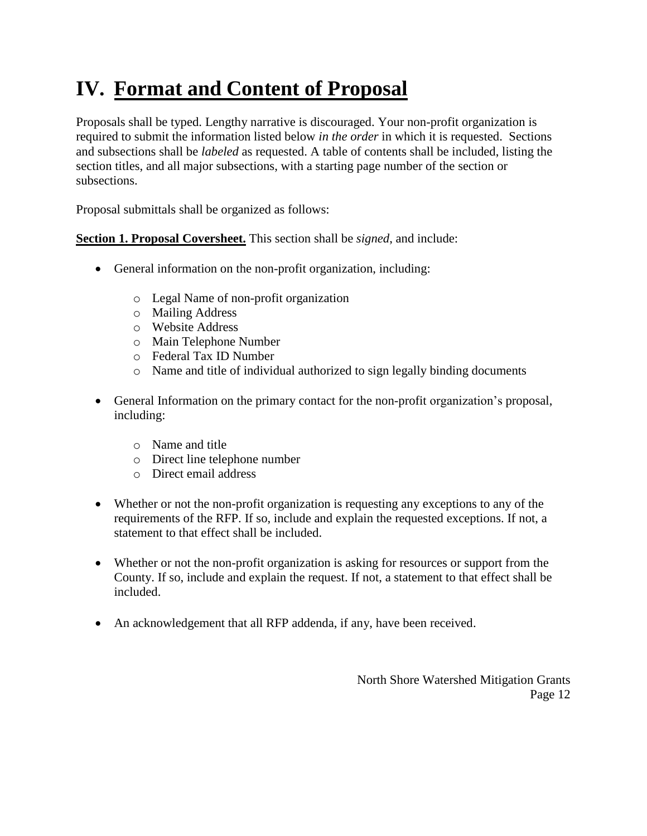## <span id="page-11-0"></span>**IV. Format and Content of Proposal**

Proposals shall be typed. Lengthy narrative is discouraged. Your non-profit organization is required to submit the information listed below *in the order* in which it is requested. Sections and subsections shall be *labeled* as requested. A table of contents shall be included, listing the section titles, and all major subsections, with a starting page number of the section or subsections.

Proposal submittals shall be organized as follows:

**Section 1. Proposal Coversheet.** This section shall be *signed*, and include:

- General information on the non-profit organization, including:
	- o Legal Name of non-profit organization
	- o Mailing Address
	- o Website Address
	- o Main Telephone Number
	- o Federal Tax ID Number
	- o Name and title of individual authorized to sign legally binding documents
- General Information on the primary contact for the non-profit organization's proposal, including:
	- o Name and title
	- o Direct line telephone number
	- o Direct email address
- Whether or not the non-profit organization is requesting any exceptions to any of the requirements of the RFP. If so, include and explain the requested exceptions. If not, a statement to that effect shall be included.
- Whether or not the non-profit organization is asking for resources or support from the County. If so, include and explain the request. If not, a statement to that effect shall be included.
- An acknowledgement that all RFP addenda, if any, have been received.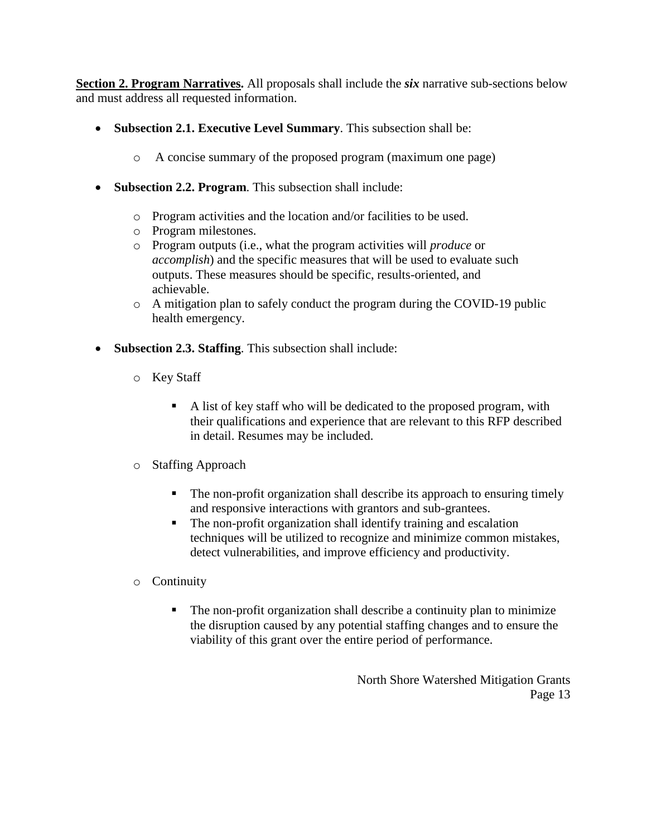**Section 2. Program Narratives.** All proposals shall include the *six* narrative sub-sections below and must address all requested information.

- **Subsection 2.1. Executive Level Summary**. This subsection shall be:
	- o A concise summary of the proposed program (maximum one page)
- **Subsection 2.2. Program**. This subsection shall include:
	- o Program activities and the location and/or facilities to be used.
	- o Program milestones.
	- o Program outputs (i.e., what the program activities will *produce* or *accomplish*) and the specific measures that will be used to evaluate such outputs. These measures should be specific, results-oriented, and achievable.
	- $\circ$  A mitigation plan to safely conduct the program during the COVID-19 public health emergency.
- **Subsection 2.3. Staffing**. This subsection shall include:
	- o Key Staff
		- A list of key staff who will be dedicated to the proposed program, with their qualifications and experience that are relevant to this RFP described in detail. Resumes may be included.
	- o Staffing Approach
		- The non-profit organization shall describe its approach to ensuring timely and responsive interactions with grantors and sub-grantees.
		- The non-profit organization shall identify training and escalation techniques will be utilized to recognize and minimize common mistakes, detect vulnerabilities, and improve efficiency and productivity.
	- o Continuity
		- The non-profit organization shall describe a continuity plan to minimize the disruption caused by any potential staffing changes and to ensure the viability of this grant over the entire period of performance.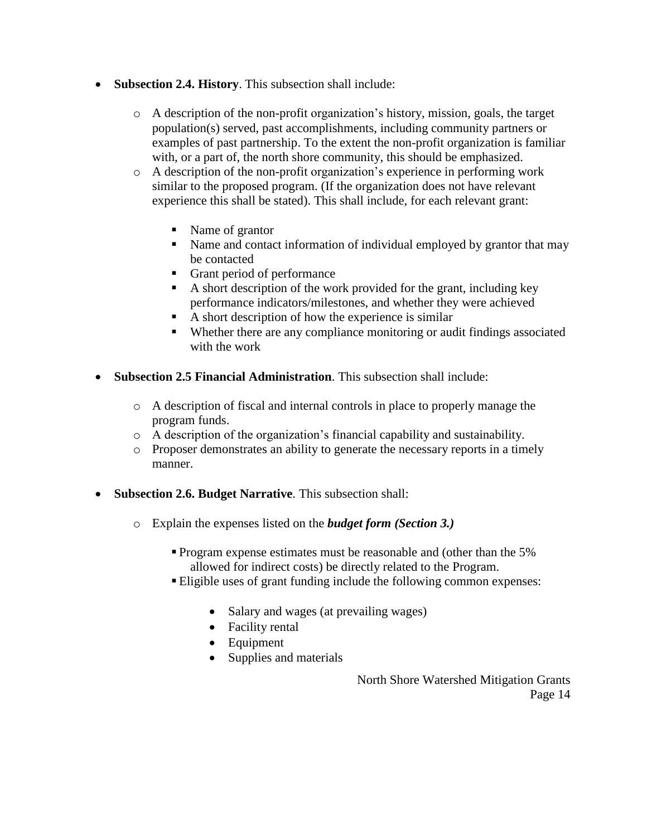- **Subsection 2.4. History**. This subsection shall include:
	- $\circ$  A description of the non-profit organization's history, mission, goals, the target population(s) served, past accomplishments, including community partners or examples of past partnership. To the extent the non-profit organization is familiar with, or a part of, the north shore community, this should be emphasized.
	- o A description of the non-profit organization's experience in performing work similar to the proposed program. (If the organization does not have relevant experience this shall be stated). This shall include, for each relevant grant:
		- Name of grantor
		- Name and contact information of individual employed by grantor that may be contacted
		- Grant period of performance
		- A short description of the work provided for the grant, including key performance indicators/milestones, and whether they were achieved
		- A short description of how the experience is similar
		- Whether there are any compliance monitoring or audit findings associated with the work
- **Subsection 2.5 Financial Administration**. This subsection shall include:
	- o A description of fiscal and internal controls in place to properly manage the program funds.
	- o A description of the organization's financial capability and sustainability.
	- o Proposer demonstrates an ability to generate the necessary reports in a timely manner.
- **Subsection 2.6. Budget Narrative**. This subsection shall:
	- o Explain the expenses listed on the *budget form (Section 3.)*
		- **Program expense estimates must be reasonable and (other than the 5%)** allowed for indirect costs) be directly related to the Program.
		- Eligible uses of grant funding include the following common expenses:
			- Salary and wages (at prevailing wages)
			- Facility rental
			- Equipment
			- Supplies and materials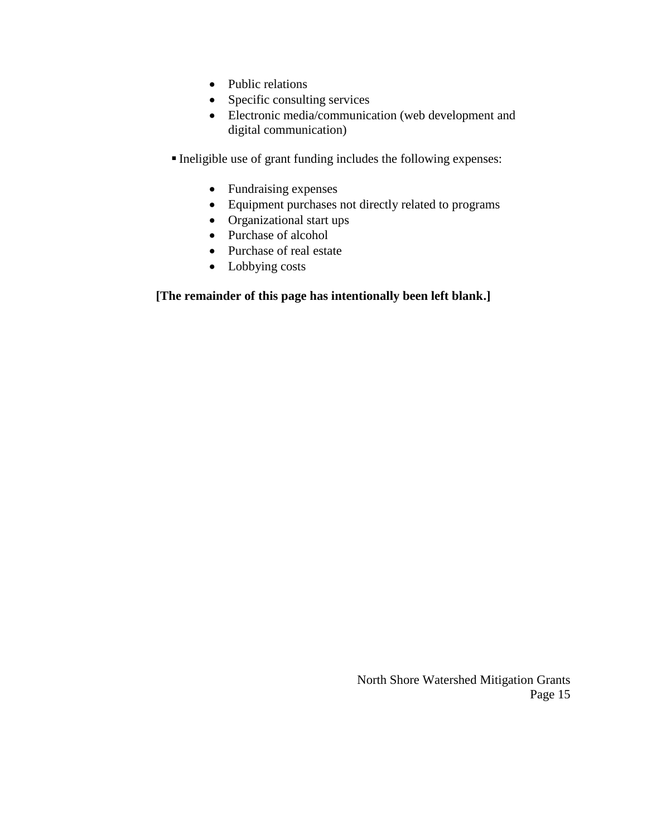- Public relations
- Specific consulting services
- Electronic media/communication (web development and digital communication)
- Ineligible use of grant funding includes the following expenses:
	- Fundraising expenses
	- Equipment purchases not directly related to programs
	- Organizational start ups
	- Purchase of alcohol
	- Purchase of real estate
	- Lobbying costs

#### **[The remainder of this page has intentionally been left blank.]**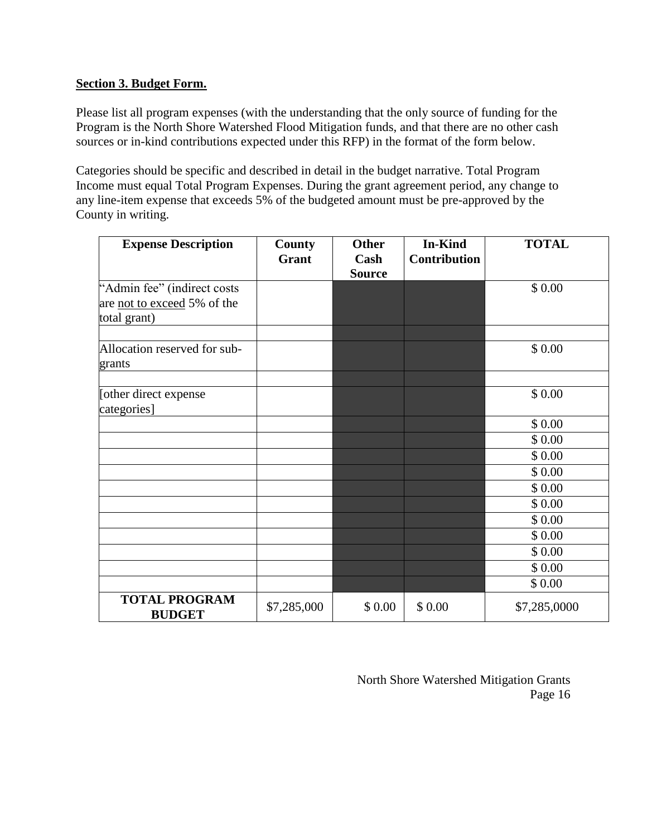#### **Section 3. Budget Form.**

Please list all program expenses (with the understanding that the only source of funding for the Program is the North Shore Watershed Flood Mitigation funds, and that there are no other cash sources or in-kind contributions expected under this RFP) in the format of the form below.

Categories should be specific and described in detail in the budget narrative. Total Program Income must equal Total Program Expenses. During the grant agreement period, any change to any line-item expense that exceeds 5% of the budgeted amount must be pre-approved by the County in writing.

| <b>Expense Description</b>                                                 | <b>County</b><br>Grant | <b>Other</b><br>Cash<br><b>Source</b> | <b>In-Kind</b><br><b>Contribution</b> | <b>TOTAL</b> |
|----------------------------------------------------------------------------|------------------------|---------------------------------------|---------------------------------------|--------------|
| "Admin fee" (indirect costs<br>are not to exceed 5% of the<br>total grant) |                        |                                       |                                       | \$0.00       |
| Allocation reserved for sub-<br>grants                                     |                        |                                       |                                       | \$0.00       |
| [other direct expense]<br>categories]                                      |                        |                                       |                                       | \$0.00       |
|                                                                            |                        |                                       |                                       | \$0.00       |
|                                                                            |                        |                                       |                                       | \$0.00       |
|                                                                            |                        |                                       |                                       | \$0.00       |
|                                                                            |                        |                                       |                                       | \$0.00       |
|                                                                            |                        |                                       |                                       | \$0.00       |
|                                                                            |                        |                                       |                                       | \$0.00       |
|                                                                            |                        |                                       |                                       | \$0.00       |
|                                                                            |                        |                                       |                                       | \$0.00       |
|                                                                            |                        |                                       |                                       | \$0.00       |
|                                                                            |                        |                                       |                                       | \$ 0.00      |
|                                                                            |                        |                                       |                                       | \$0.00       |
| <b>TOTAL PROGRAM</b><br><b>BUDGET</b>                                      | \$7,285,000            | \$0.00                                | \$0.00                                | \$7,285,0000 |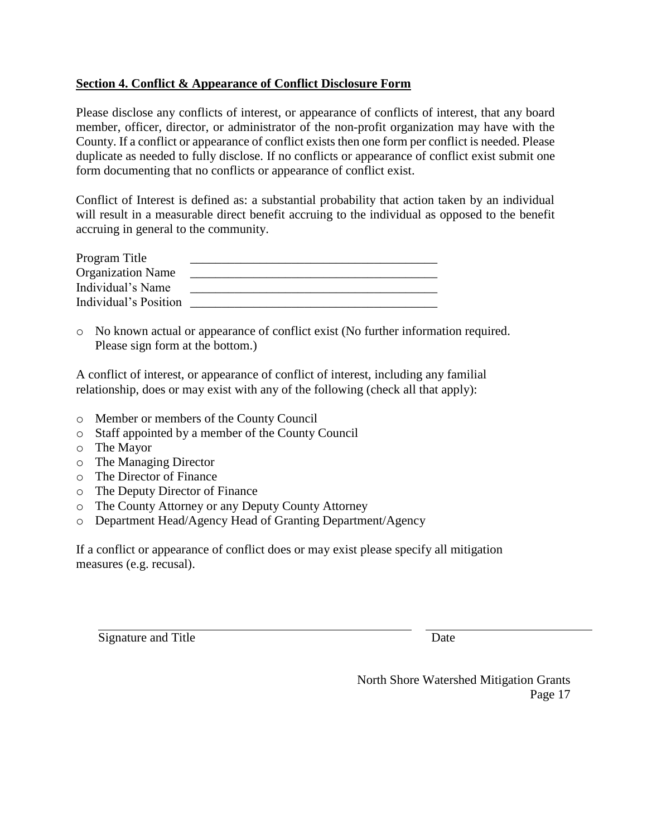### **Section 4. Conflict & Appearance of Conflict Disclosure Form**

Please disclose any conflicts of interest, or appearance of conflicts of interest, that any board member, officer, director, or administrator of the non-profit organization may have with the County. If a conflict or appearance of conflict exists then one form per conflict is needed. Please duplicate as needed to fully disclose. If no conflicts or appearance of conflict exist submit one form documenting that no conflicts or appearance of conflict exist.

Conflict of Interest is defined as: a substantial probability that action taken by an individual will result in a measurable direct benefit accruing to the individual as opposed to the benefit accruing in general to the community.

| Program Title            |  |
|--------------------------|--|
| <b>Organization Name</b> |  |
| Individual's Name        |  |
| Individual's Position    |  |

o No known actual or appearance of conflict exist (No further information required. Please sign form at the bottom.)

A conflict of interest, or appearance of conflict of interest, including any familial relationship, does or may exist with any of the following (check all that apply):

- o Member or members of the County Council
- o Staff appointed by a member of the County Council
- o The Mayor
- o The Managing Director
- o The Director of Finance
- o The Deputy Director of Finance
- o The County Attorney or any Deputy County Attorney
- o Department Head/Agency Head of Granting Department/Agency

If a conflict or appearance of conflict does or may exist please specify all mitigation measures (e.g. recusal).

Signature and Title Date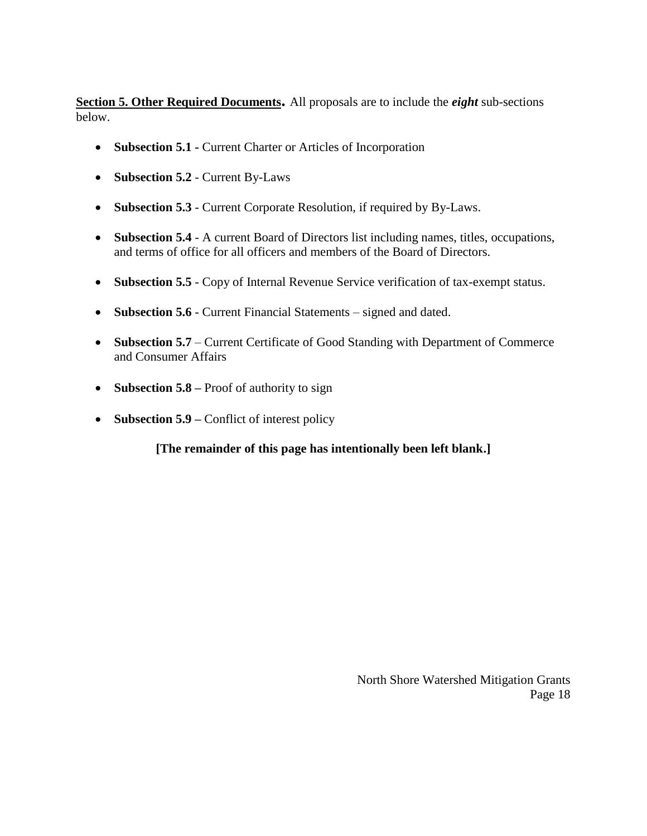**Section 5. Other Required Documents.** All proposals are to include the *eight* sub-sections below.

- **Subsection 5.1 -** Current Charter or Articles of Incorporation
- **Subsection 5.2** Current By-Laws
- **Subsection 5.3** Current Corporate Resolution, if required by By-Laws.
- **Subsection 5.4** A current Board of Directors list including names, titles, occupations, and terms of office for all officers and members of the Board of Directors.
- **Subsection 5.5** Copy of Internal Revenue Service verification of tax-exempt status.
- **Subsection 5.6** Current Financial Statements signed and dated.
- Subsection 5.7 Current Certificate of Good Standing with Department of Commerce and Consumer Affairs
- **Subsection 5.8** Proof of authority to sign
- **Subsection 5.9** Conflict of interest policy

**[The remainder of this page has intentionally been left blank.]**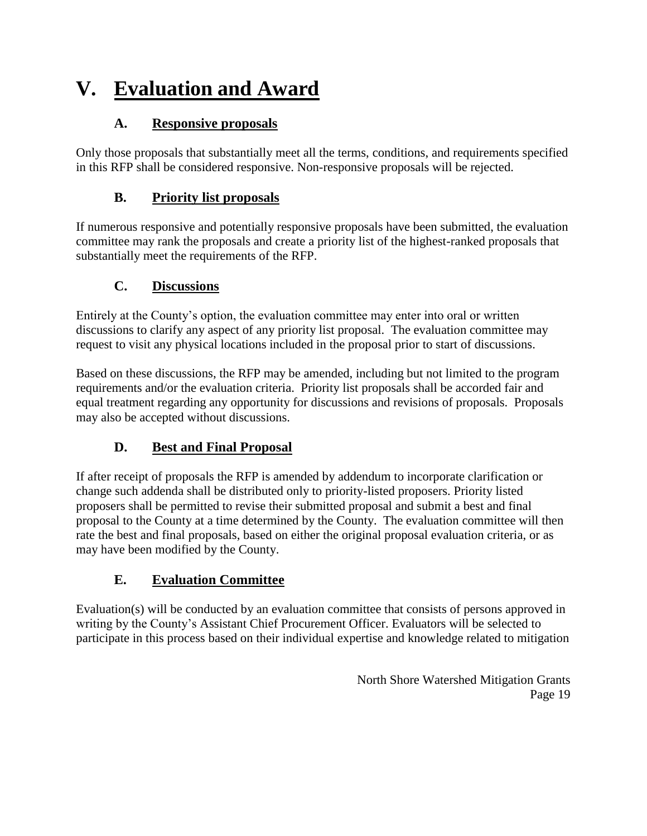## <span id="page-18-0"></span>**V. Evaluation and Award**

### **A. Responsive proposals**

<span id="page-18-1"></span>Only those proposals that substantially meet all the terms, conditions, and requirements specified in this RFP shall be considered responsive. Non-responsive proposals will be rejected.

### **B. Priority list proposals**

<span id="page-18-2"></span>If numerous responsive and potentially responsive proposals have been submitted, the evaluation committee may rank the proposals and create a priority list of the highest-ranked proposals that substantially meet the requirements of the RFP.

### **C. Discussions**

<span id="page-18-3"></span>Entirely at the County's option, the evaluation committee may enter into oral or written discussions to clarify any aspect of any priority list proposal. The evaluation committee may request to visit any physical locations included in the proposal prior to start of discussions.

Based on these discussions, the RFP may be amended, including but not limited to the program requirements and/or the evaluation criteria. Priority list proposals shall be accorded fair and equal treatment regarding any opportunity for discussions and revisions of proposals. Proposals may also be accepted without discussions.

### **D. Best and Final Proposal**

<span id="page-18-4"></span>If after receipt of proposals the RFP is amended by addendum to incorporate clarification or change such addenda shall be distributed only to priority-listed proposers. Priority listed proposers shall be permitted to revise their submitted proposal and submit a best and final proposal to the County at a time determined by the County. The evaluation committee will then rate the best and final proposals, based on either the original proposal evaluation criteria, or as may have been modified by the County.

### **E. Evaluation Committee**

<span id="page-18-5"></span>Evaluation(s) will be conducted by an evaluation committee that consists of persons approved in writing by the County's Assistant Chief Procurement Officer. Evaluators will be selected to participate in this process based on their individual expertise and knowledge related to mitigation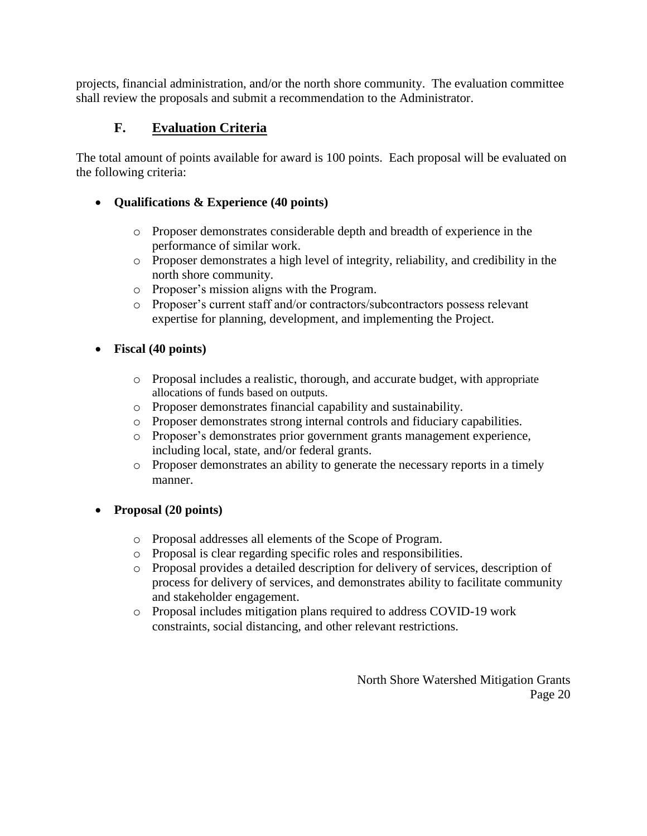projects, financial administration, and/or the north shore community. The evaluation committee shall review the proposals and submit a recommendation to the Administrator.

### **F. Evaluation Criteria**

<span id="page-19-0"></span>The total amount of points available for award is 100 points. Each proposal will be evaluated on the following criteria:

### **Qualifications & Experience (40 points)**

- o Proposer demonstrates considerable depth and breadth of experience in the performance of similar work.
- o Proposer demonstrates a high level of integrity, reliability, and credibility in the north shore community.
- o Proposer's mission aligns with the Program.
- o Proposer's current staff and/or contractors/subcontractors possess relevant expertise for planning, development, and implementing the Project.

### **Fiscal (40 points)**

- o Proposal includes a realistic, thorough, and accurate budget, with appropriate allocations of funds based on outputs.
- o Proposer demonstrates financial capability and sustainability.
- o Proposer demonstrates strong internal controls and fiduciary capabilities.
- o Proposer's demonstrates prior government grants management experience, including local, state, and/or federal grants.
- o Proposer demonstrates an ability to generate the necessary reports in a timely manner.

### **Proposal (20 points)**

- o Proposal addresses all elements of the Scope of Program.
- o Proposal is clear regarding specific roles and responsibilities.
- o Proposal provides a detailed description for delivery of services, description of process for delivery of services, and demonstrates ability to facilitate community and stakeholder engagement.
- o Proposal includes mitigation plans required to address COVID-19 work constraints, social distancing, and other relevant restrictions.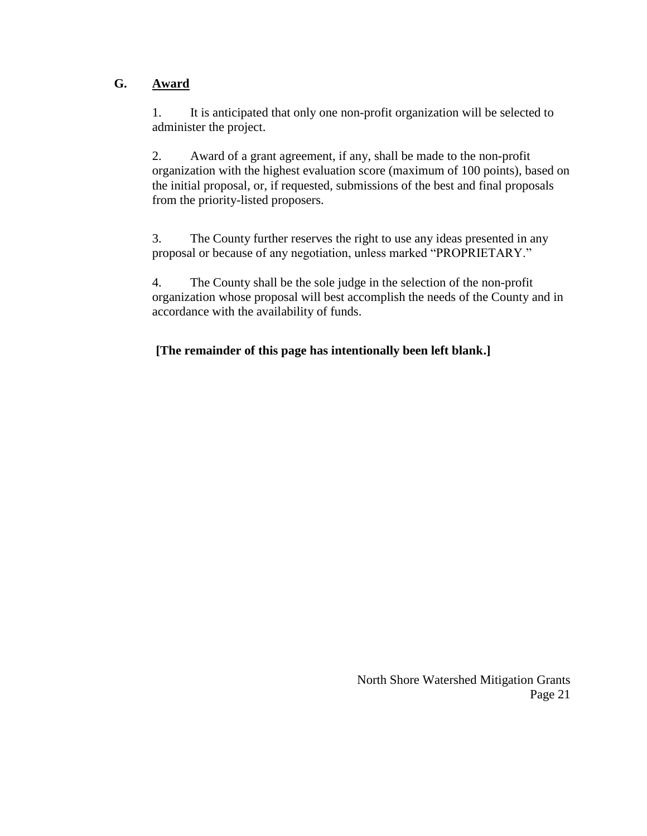### <span id="page-20-0"></span>**G. Award**

1. It is anticipated that only one non-profit organization will be selected to administer the project.

2. Award of a grant agreement, if any, shall be made to the non-profit organization with the highest evaluation score (maximum of 100 points), based on the initial proposal, or, if requested, submissions of the best and final proposals from the priority-listed proposers.

3. The County further reserves the right to use any ideas presented in any proposal or because of any negotiation, unless marked "PROPRIETARY."

4. The County shall be the sole judge in the selection of the non-profit organization whose proposal will best accomplish the needs of the County and in accordance with the availability of funds.

### **[The remainder of this page has intentionally been left blank.]**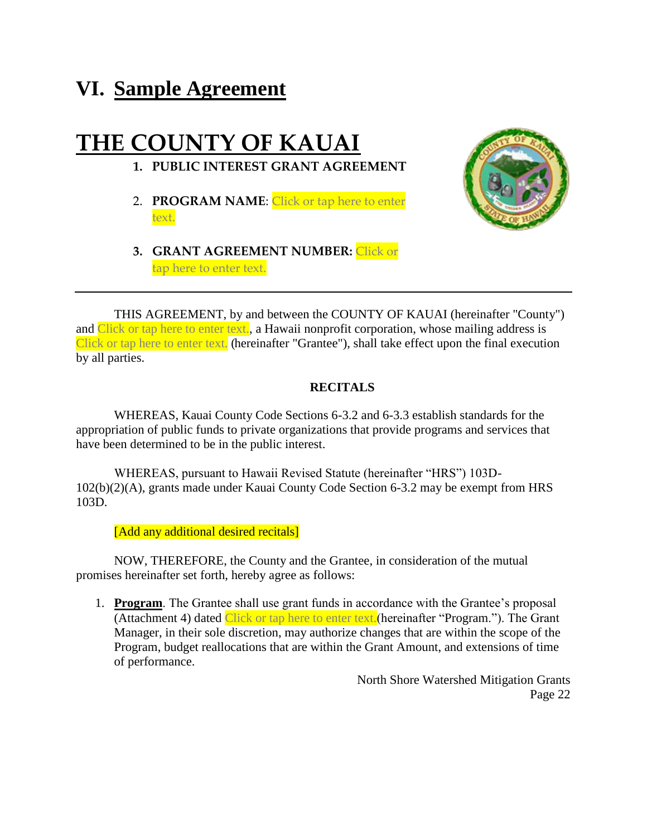## <span id="page-21-0"></span>**VI. Sample Agreement**

## **THE COUNTY OF KAUAI**

- **1. PUBLIC INTEREST GRANT AGREEMENT**
- 2. **PROGRAM NAME**: Click or tap here to enter text.



**3. GRANT AGREEMENT NUMBER:** Click or tap here to enter text.

THIS AGREEMENT, by and between the COUNTY OF KAUAI (hereinafter "County") and Click or tap here to enter text., a Hawaii nonprofit corporation, whose mailing address is Click or tap here to enter text. (hereinafter "Grantee"), shall take effect upon the final execution by all parties.

#### **RECITALS**

WHEREAS, Kauai County Code Sections 6-3.2 and 6-3.3 establish standards for the appropriation of public funds to private organizations that provide programs and services that have been determined to be in the public interest.

WHEREAS, pursuant to Hawaii Revised Statute (hereinafter "HRS") 103D-102(b)(2)(A), grants made under Kauai County Code Section 6-3.2 may be exempt from HRS 103D.

[Add any additional desired recitals]

NOW, THEREFORE, the County and the Grantee, in consideration of the mutual promises hereinafter set forth, hereby agree as follows:

1. **Program**. The Grantee shall use grant funds in accordance with the Grantee's proposal (Attachment 4) dated Click or tap here to enter text.(hereinafter "Program."). The Grant Manager, in their sole discretion, may authorize changes that are within the scope of the Program, budget reallocations that are within the Grant Amount, and extensions of time of performance.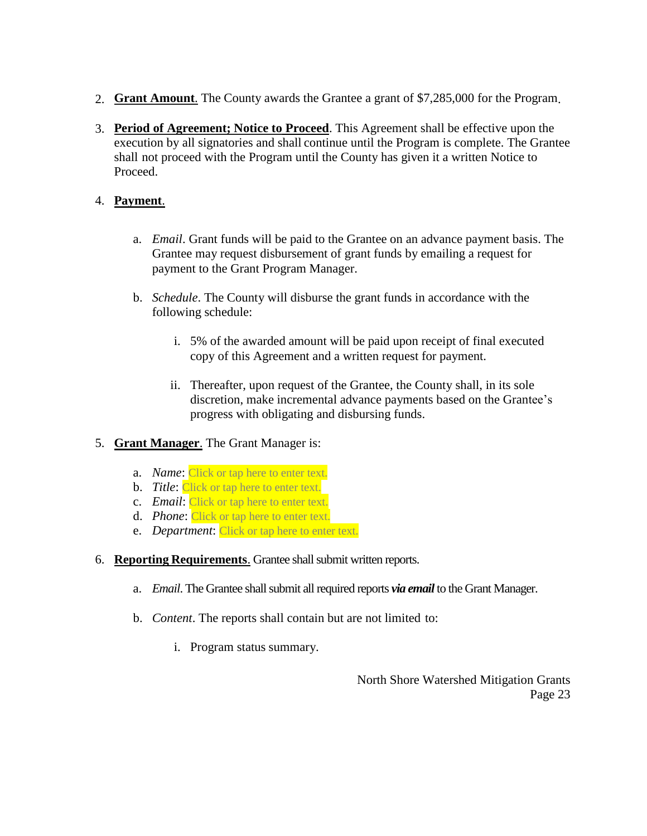- 2. **Grant Amount**. The County awards the Grantee a grant of \$7,285,000 for the Program.
- 3. **Period of Agreement; Notice to Proceed**. This Agreement shall be effective upon the execution by all signatories and shall continue until the Program is complete. The Grantee shall not proceed with the Program until the County has given it a written Notice to Proceed.

#### 4. **Payment**.

- a. *Email*. Grant funds will be paid to the Grantee on an advance payment basis. The Grantee may request disbursement of grant funds by emailing a request for payment to the Grant Program Manager.
- b. *Schedule*. The County will disburse the grant funds in accordance with the following schedule:
	- i. 5% of the awarded amount will be paid upon receipt of final executed copy of this Agreement and a written request for payment.
	- ii. Thereafter, upon request of the Grantee, the County shall, in its sole discretion, make incremental advance payments based on the Grantee's progress with obligating and disbursing funds.
- 5. **Grant Manager**. The Grant Manager is:
	- a. *Name*: Click or tap here to enter text.
	- b. *Title*: Click or tap here to enter text.
	- c. *Email*: Click or tap here to enter text.
	- d. *Phone*: Click or tap here to enter text.
	- e. *Department*: Click or tap here to enter text.
- 6. **Reporting Requirements**. Grantee shall submit written reports.
	- a. *Email*. The Grantee shall submit all required reports *via email* to the Grant Manager.
	- b. *Content*. The reports shall contain but are not limited to:
		- i. Program status summary.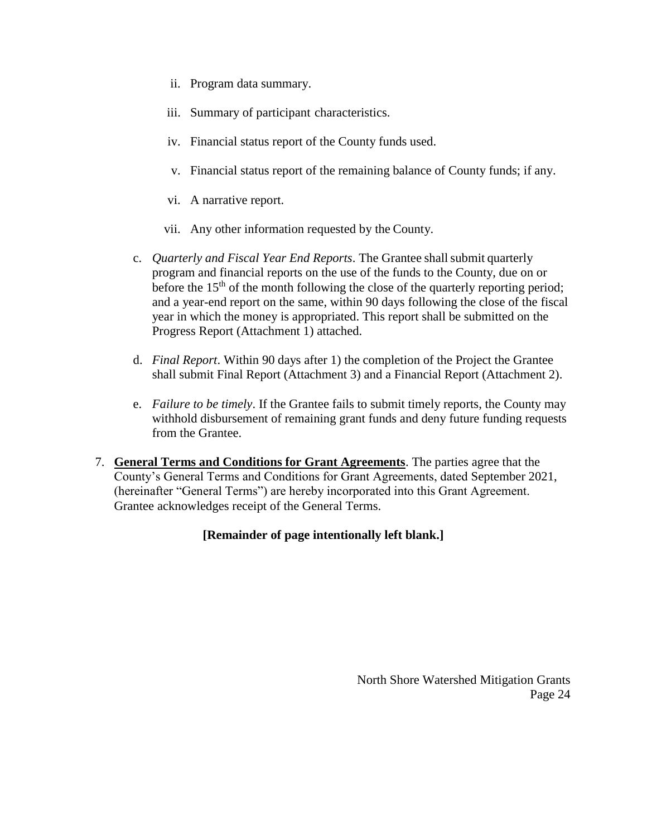- ii. Program data summary.
- iii. Summary of participant characteristics.
- iv. Financial status report of the County funds used.
- v. Financial status report of the remaining balance of County funds; if any.
- vi. A narrative report.
- vii. Any other information requested by the County.
- c. *Quarterly and Fiscal Year End Reports*. The Grantee shall submit quarterly program and financial reports on the use of the funds to the County, due on or before the 15<sup>th</sup> of the month following the close of the quarterly reporting period; and a year-end report on the same, within 90 days following the close of the fiscal year in which the money is appropriated. This report shall be submitted on the Progress Report (Attachment 1) attached.
- d. *Final Report*. Within 90 days after 1) the completion of the Project the Grantee shall submit Final Report (Attachment 3) and a Financial Report (Attachment 2).
- e. *Failure to be timely*. If the Grantee fails to submit timely reports, the County may withhold disbursement of remaining grant funds and deny future funding requests from the Grantee.
- 7. **General Terms and Conditions for Grant Agreements**. The parties agree that the County's General Terms and Conditions for Grant Agreements, dated September 2021, (hereinafter "General Terms") are hereby incorporated into this Grant Agreement. Grantee acknowledges receipt of the General Terms.

#### **[Remainder of page intentionally left blank.]**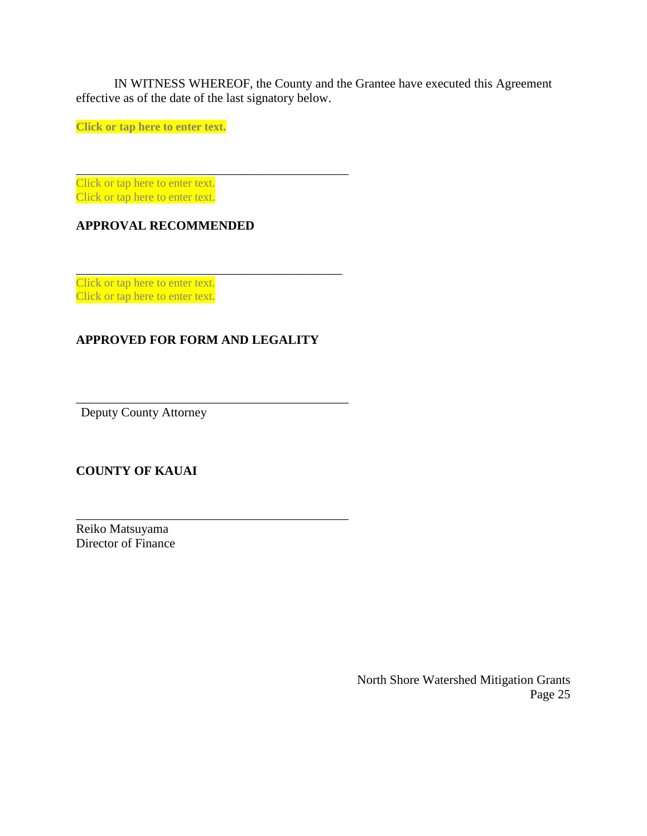IN WITNESS WHEREOF, the County and the Grantee have executed this Agreement effective as of the date of the last signatory below.

**Click or tap here to enter text.**

Click or tap here to enter text. Click or tap here to enter text.

#### **APPROVAL RECOMMENDED**

Click or tap here to enter text. Click or tap here to enter text.

### **APPROVED FOR FORM AND LEGALITY**

\_\_\_\_\_\_\_\_\_\_\_\_\_\_\_\_\_\_\_\_\_\_\_\_\_\_\_\_\_\_\_\_\_\_\_\_\_\_\_\_\_\_\_

\_\_\_\_\_\_\_\_\_\_\_\_\_\_\_\_\_\_\_\_\_\_\_\_\_\_\_\_\_\_\_\_\_\_\_\_\_\_\_\_\_\_\_

\_\_\_\_\_\_\_\_\_\_\_\_\_\_\_\_\_\_\_\_\_\_\_\_\_\_\_\_\_\_\_\_\_\_\_\_\_\_\_\_\_\_\_

\_\_\_\_\_\_\_\_\_\_\_\_\_\_\_\_\_\_\_\_\_\_\_\_\_\_\_\_\_\_\_\_\_\_\_\_\_\_\_\_\_\_

Deputy County Attorney

### **COUNTY OF KAUAI**

Reiko Matsuyama Director of Finance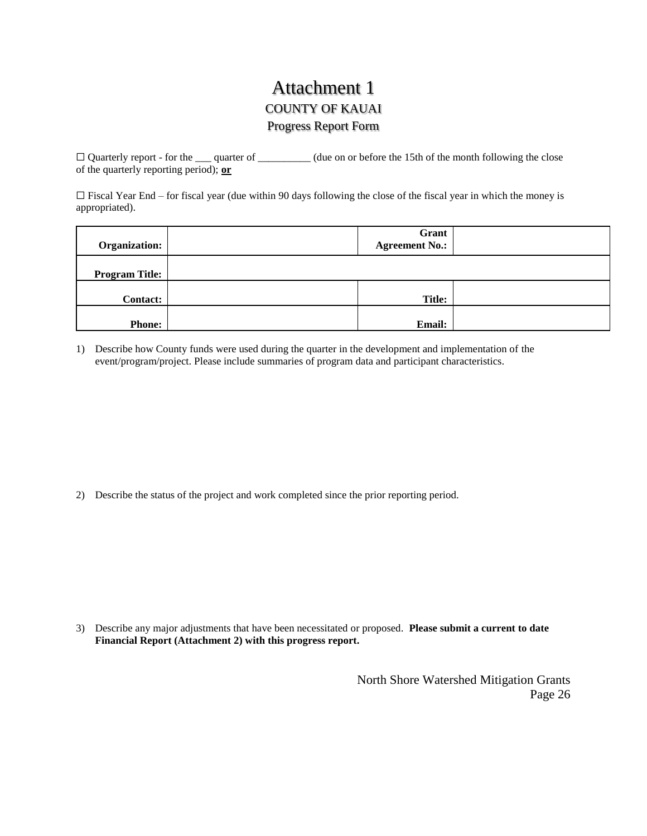### Attachment 1 COUNTY OF KAUAI Progress Report Form

 $\Box$  Quarterly report - for the  $\Box$  quarter of  $\Box$  (due on or before the 15th of the month following the close of the quarterly reporting period); **or**

 $\Box$  Fiscal Year End – for fiscal year (due within 90 days following the close of the fiscal year in which the money is appropriated).

| Organization:         | Grant<br><b>Agreement No.:</b> |  |
|-----------------------|--------------------------------|--|
| <b>Program Title:</b> |                                |  |
| <b>Contact:</b>       | <b>Title:</b>                  |  |
| <b>Phone:</b>         | <b>Email:</b>                  |  |

1) Describe how County funds were used during the quarter in the development and implementation of the event/program/project. Please include summaries of program data and participant characteristics.

2) Describe the status of the project and work completed since the prior reporting period.

3) Describe any major adjustments that have been necessitated or proposed. **Please submit a current to date Financial Report (Attachment 2) with this progress report.**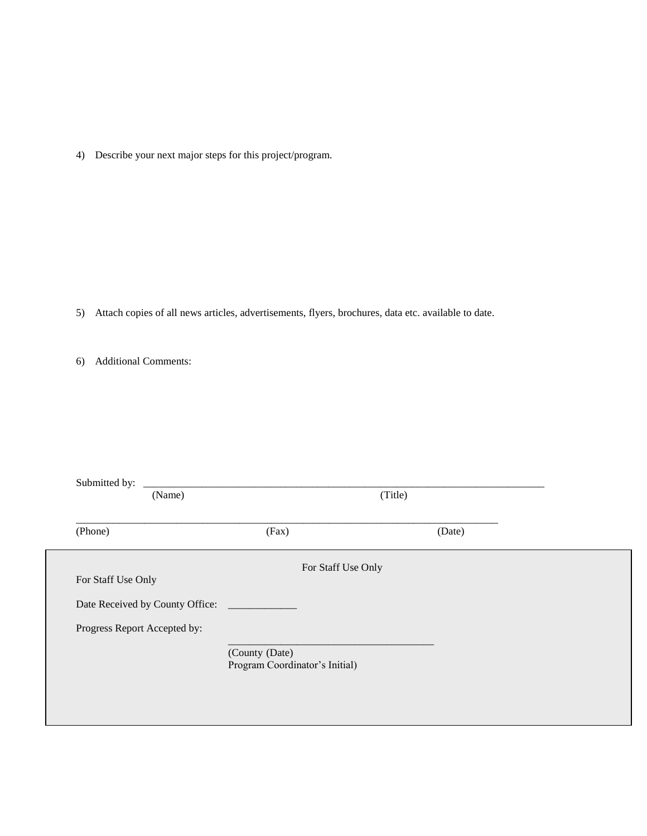4) Describe your next major steps for this project/program.

- 5) Attach copies of all news articles, advertisements, flyers, brochures, data etc. available to date.
- 6) Additional Comments:

| Submitted by:<br>(Name)      |                                                  | (Title) |  |
|------------------------------|--------------------------------------------------|---------|--|
| (Phone)                      | (Fax)                                            | (Date)  |  |
| For Staff Use Only           | For Staff Use Only                               |         |  |
|                              |                                                  |         |  |
| Progress Report Accepted by: |                                                  |         |  |
|                              | (County (Date)<br>Program Coordinator's Initial) |         |  |
|                              |                                                  |         |  |
|                              |                                                  |         |  |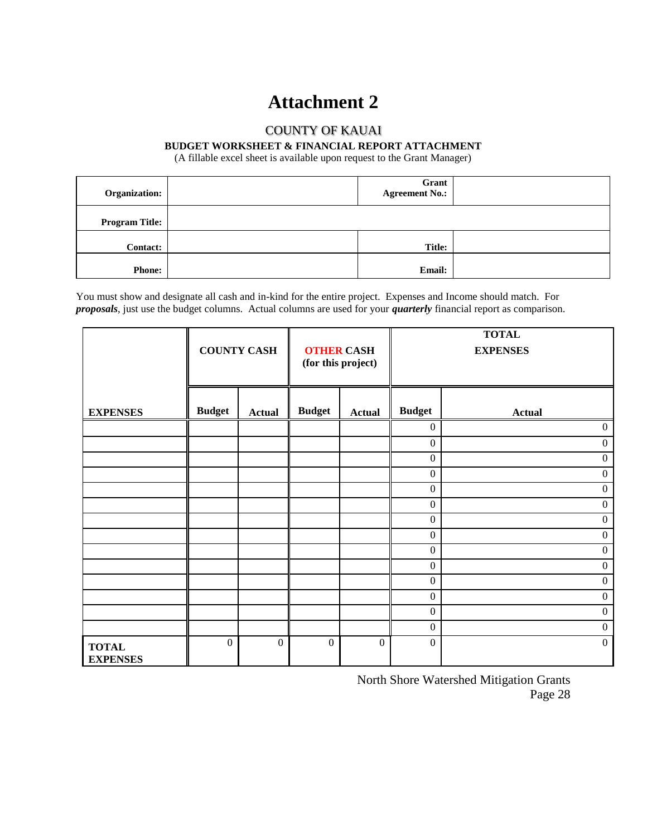### **Attachment 2**

### COUNTY OF KAUAI

#### **BUDGET WORKSHEET & FINANCIAL REPORT ATTACHMENT**

(A fillable excel sheet is available upon request to the Grant Manager)

| Organization:         | Grant<br><b>Agreement No.:</b> |  |
|-----------------------|--------------------------------|--|
| <b>Program Title:</b> |                                |  |
| <b>Contact:</b>       | <b>Title:</b>                  |  |
| <b>Phone:</b>         | Email:                         |  |

You must show and designate all cash and in-kind for the entire project. Expenses and Income should match. For *proposals*, just use the budget columns. Actual columns are used for your *quarterly* financial report as comparison.

|                                 |               | <b>COUNTY CASH</b> |                  | <b>OTHER CASH</b><br>(for this project) |                  | <b>TOTAL</b><br><b>EXPENSES</b> |
|---------------------------------|---------------|--------------------|------------------|-----------------------------------------|------------------|---------------------------------|
| <b>EXPENSES</b>                 | <b>Budget</b> | <b>Actual</b>      | <b>Budget</b>    | <b>Actual</b>                           | <b>Budget</b>    | <b>Actual</b>                   |
|                                 |               |                    |                  |                                         | $\boldsymbol{0}$ | $\boldsymbol{0}$                |
|                                 |               |                    |                  |                                         | $\boldsymbol{0}$ | $\boldsymbol{0}$                |
|                                 |               |                    |                  |                                         | $\boldsymbol{0}$ | $\boldsymbol{0}$                |
|                                 |               |                    |                  |                                         | $\mathbf{0}$     | $\boldsymbol{0}$                |
|                                 |               |                    |                  |                                         | $\boldsymbol{0}$ | $\boldsymbol{0}$                |
|                                 |               |                    |                  |                                         | $\mathbf{0}$     | $\boldsymbol{0}$                |
|                                 |               |                    |                  |                                         | $\boldsymbol{0}$ | $\boldsymbol{0}$                |
|                                 |               |                    |                  |                                         | $\boldsymbol{0}$ | $\boldsymbol{0}$                |
|                                 |               |                    |                  |                                         | $\boldsymbol{0}$ | $\boldsymbol{0}$                |
|                                 |               |                    |                  |                                         | $\mathbf{0}$     | $\boldsymbol{0}$                |
|                                 |               |                    |                  |                                         | $\boldsymbol{0}$ | $\boldsymbol{0}$                |
|                                 |               |                    |                  |                                         | $\boldsymbol{0}$ | $\boldsymbol{0}$                |
|                                 |               |                    |                  |                                         | $\boldsymbol{0}$ | $\boldsymbol{0}$                |
|                                 |               |                    |                  |                                         | $\boldsymbol{0}$ | $\overline{0}$                  |
| <b>TOTAL</b><br><b>EXPENSES</b> | $\mathbf{0}$  | $\mathbf{0}$       | $\boldsymbol{0}$ | $\boldsymbol{0}$                        | $\mathbf{0}$     | $\mathbf{0}$                    |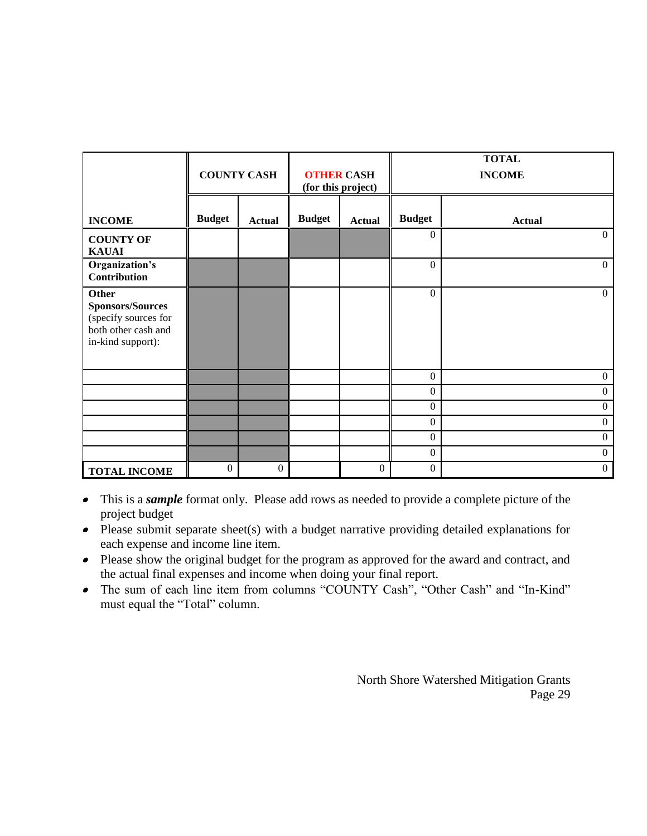|                                                                                                             |               | <b>COUNTY CASH</b> |               | <b>OTHER CASH</b><br>(for this project) |                  | <b>TOTAL</b><br><b>INCOME</b> |
|-------------------------------------------------------------------------------------------------------------|---------------|--------------------|---------------|-----------------------------------------|------------------|-------------------------------|
| <b>INCOME</b>                                                                                               | <b>Budget</b> | <b>Actual</b>      | <b>Budget</b> | <b>Actual</b>                           | <b>Budget</b>    | <b>Actual</b>                 |
| <b>COUNTY OF</b><br><b>KAUAI</b>                                                                            |               |                    |               |                                         | $\overline{0}$   | $\overline{0}$                |
| Organization's<br><b>Contribution</b>                                                                       |               |                    |               |                                         | $\Omega$         | $\overline{0}$                |
| <b>Other</b><br><b>Sponsors/Sources</b><br>(specify sources for<br>both other cash and<br>in-kind support): |               |                    |               |                                         | $\theta$         | $\overline{0}$                |
|                                                                                                             |               |                    |               |                                         | $\boldsymbol{0}$ | $\boldsymbol{0}$              |
|                                                                                                             |               |                    |               |                                         | $\overline{0}$   | $\mathbf{0}$                  |
|                                                                                                             |               |                    |               |                                         | $\overline{0}$   | $\boldsymbol{0}$              |
|                                                                                                             |               |                    |               |                                         | $\overline{0}$   | $\boldsymbol{0}$              |
|                                                                                                             |               |                    |               |                                         | $\overline{0}$   | $\mathbf{0}$                  |
|                                                                                                             |               |                    |               |                                         | $\boldsymbol{0}$ | $\mathbf{0}$                  |
| <b>TOTAL INCOME</b>                                                                                         | $\theta$      | $\overline{0}$     |               | $\overline{0}$                          | $\mathbf{0}$     | $\boldsymbol{0}$              |

- This is a *sample* format only. Please add rows as needed to provide a complete picture of the project budget
- $\bullet$  Please submit separate sheet(s) with a budget narrative providing detailed explanations for each expense and income line item.
- Please show the original budget for the program as approved for the award and contract, and the actual final expenses and income when doing your final report.
- The sum of each line item from columns "COUNTY Cash", "Other Cash" and "In-Kind" must equal the "Total" column.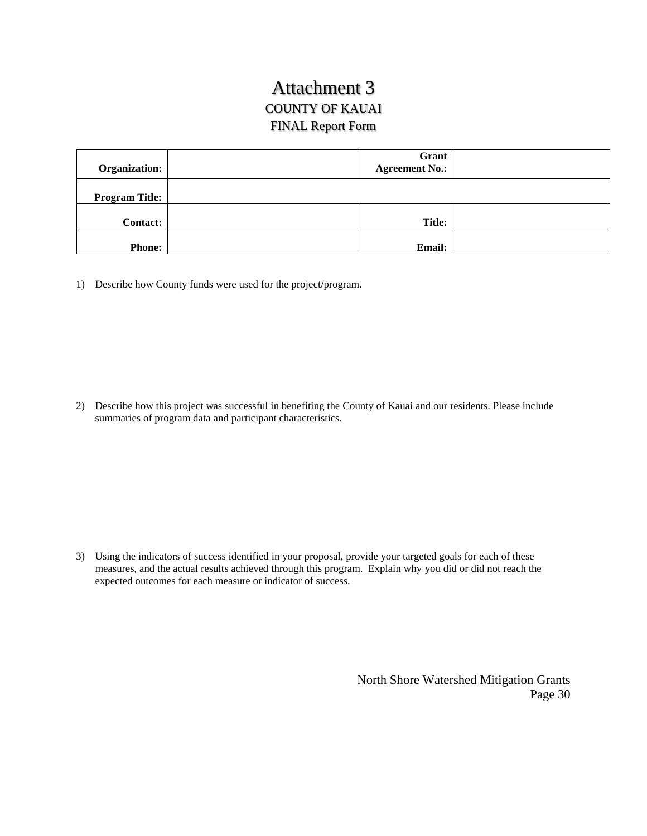### Attachment 3 COUNTY OF KAUAI FINAL Report Form

| Organization:         | Grant<br><b>Agreement No.:</b> |  |
|-----------------------|--------------------------------|--|
| <b>Program Title:</b> |                                |  |
| <b>Contact:</b>       | <b>Title:</b>                  |  |
| <b>Phone:</b>         | <b>Email:</b>                  |  |

1) Describe how County funds were used for the project/program.

2) Describe how this project was successful in benefiting the County of Kauai and our residents. Please include summaries of program data and participant characteristics.

3) Using the indicators of success identified in your proposal, provide your targeted goals for each of these measures, and the actual results achieved through this program. Explain why you did or did not reach the expected outcomes for each measure or indicator of success.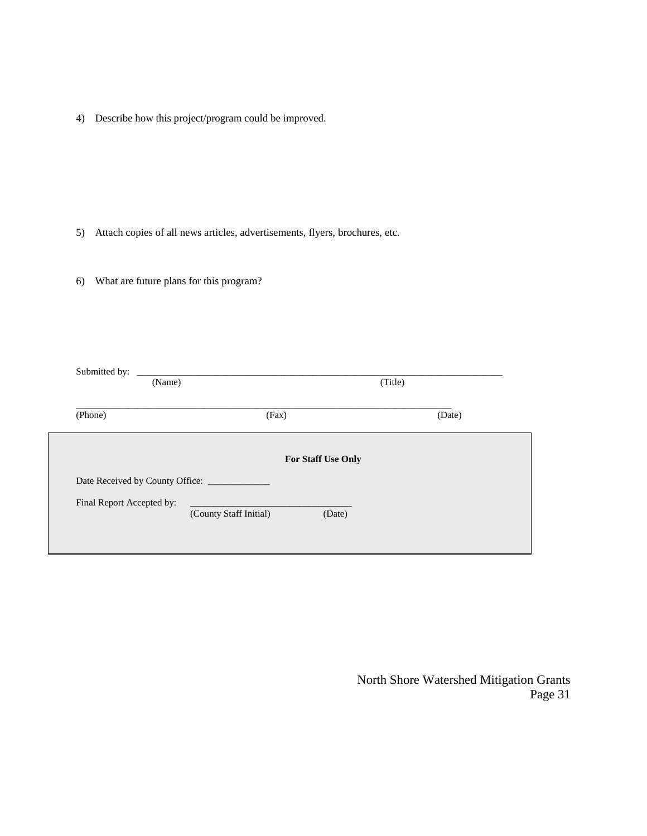4) Describe how this project/program could be improved.

- 5) Attach copies of all news articles, advertisements, flyers, brochures, etc.
- 6) What are future plans for this program?

| Submitted by:<br>(Name)   | <u> 1980 - John Stein, mars and der Stein and der Stein and der Stein and der Stein and der Stein and der Stein an</u> | (Title) |
|---------------------------|------------------------------------------------------------------------------------------------------------------------|---------|
| (Phone)                   | (Fax)                                                                                                                  | (Date)  |
|                           | For Staff Use Only                                                                                                     |         |
|                           |                                                                                                                        |         |
| Final Report Accepted by: | (County Staff Initial)<br>(Date)                                                                                       |         |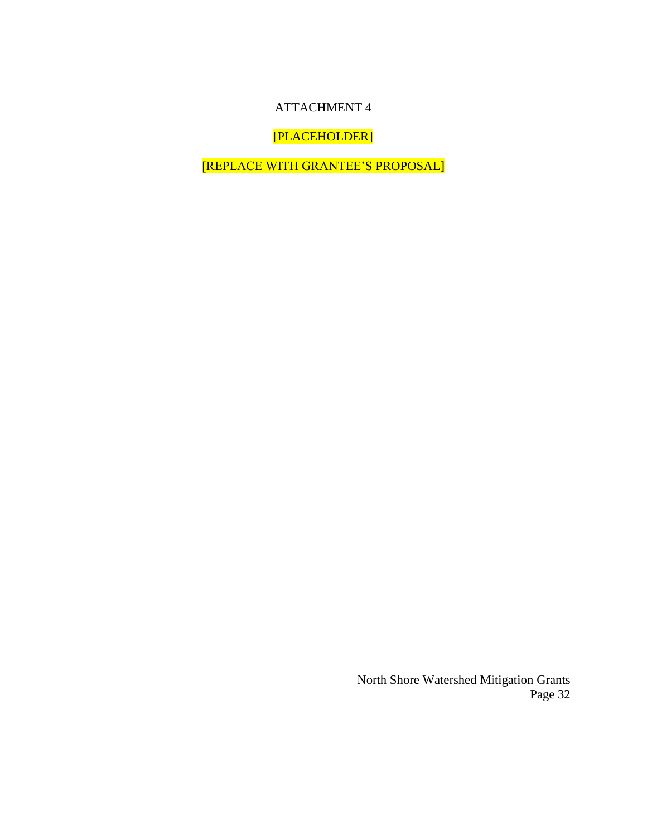### ATTACHMENT 4

[PLACEHOLDER]

[REPLACE WITH GRANTEE'S PROPOSAL]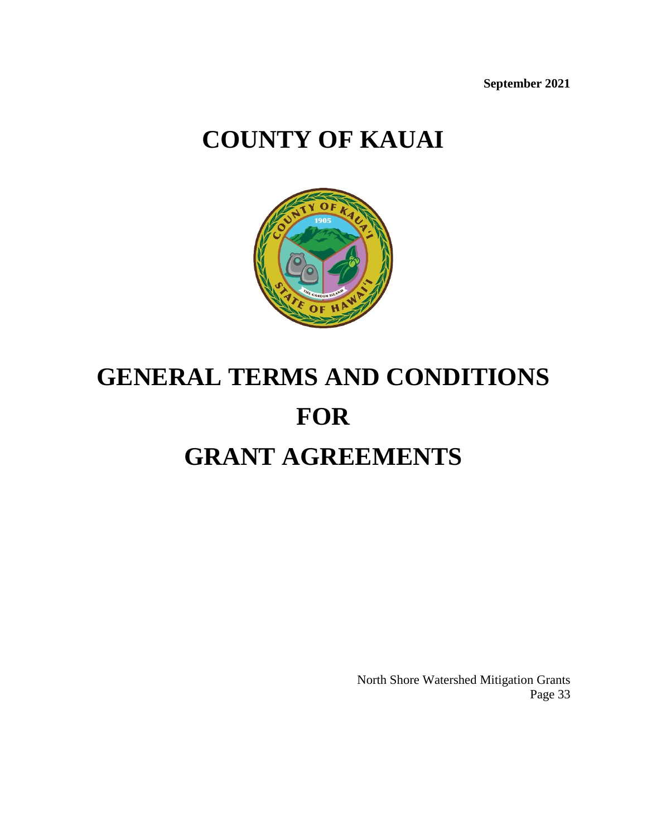**September 2021**

## **COUNTY OF KAUAI**



# **GENERAL TERMS AND CONDITIONS FOR GRANT AGREEMENTS**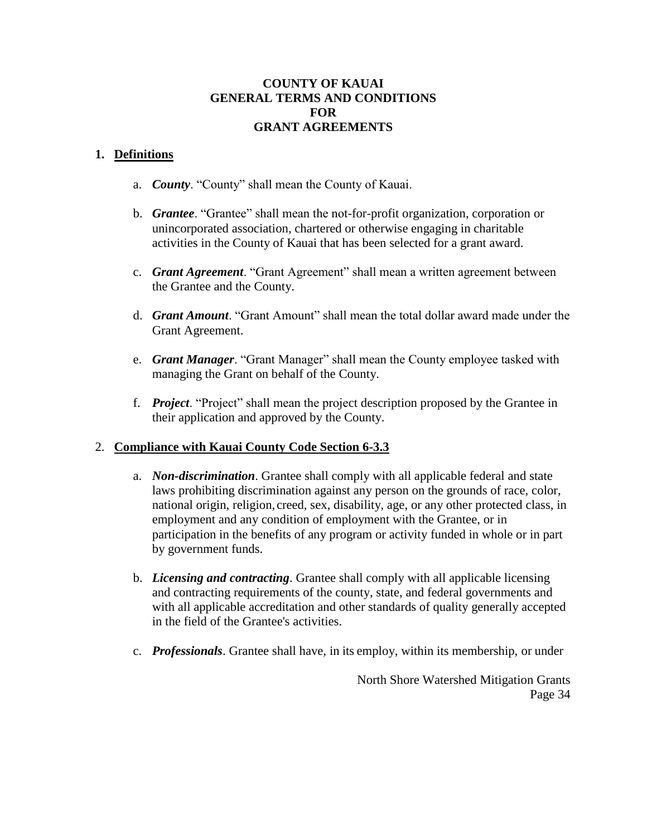#### **COUNTY OF KAUAI GENERAL TERMS AND CONDITIONS FOR GRANT AGREEMENTS**

#### **1. Definitions**

- a. *County*. "County" shall mean the County of Kauai.
- b. *Grantee*. "Grantee" shall mean the not-for-profit organization, corporation or unincorporated association, chartered or otherwise engaging in charitable activities in the County of Kauai that has been selected for a grant award.
- c. *Grant Agreement*. "Grant Agreement" shall mean a written agreement between the Grantee and the County.
- d. *Grant Amount*. "Grant Amount" shall mean the total dollar award made under the Grant Agreement.
- e. *Grant Manager*. "Grant Manager" shall mean the County employee tasked with managing the Grant on behalf of the County.
- f. *Project*. "Project" shall mean the project description proposed by the Grantee in their application and approved by the County.

#### 2. **Compliance with Kauai County Code Section 6-3.3**

- a. *Non-discrimination*. Grantee shall comply with all applicable federal and state laws prohibiting discrimination against any person on the grounds of race, color, national origin, religion, creed, sex, disability, age, or any other protected class, in employment and any condition of employment with the Grantee, or in participation in the benefits of any program or activity funded in whole or in part by government funds.
- b. *Licensing and contracting*. Grantee shall comply with all applicable licensing and contracting requirements of the county, state, and federal governments and with all applicable accreditation and other standards of quality generally accepted in the field of the Grantee's activities.
- c. *Professionals*. Grantee shall have, in its employ, within its membership, or under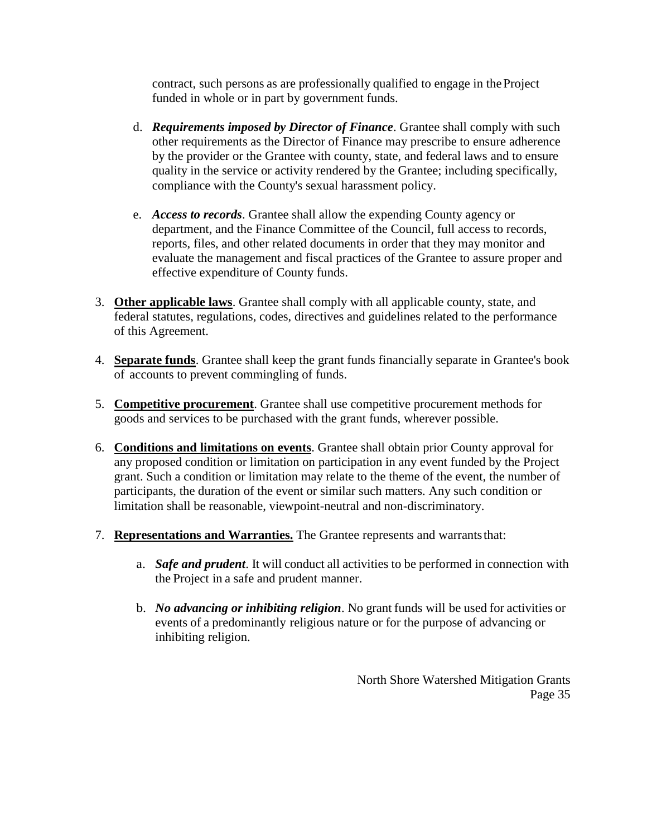contract, such persons as are professionally qualified to engage in theProject funded in whole or in part by government funds.

- d. *Requirements imposed by Director of Finance*. Grantee shall comply with such other requirements as the Director of Finance may prescribe to ensure adherence by the provider or the Grantee with county, state, and federal laws and to ensure quality in the service or activity rendered by the Grantee; including specifically, compliance with the County's sexual harassment policy.
- e. *Access to records*. Grantee shall allow the expending County agency or department, and the Finance Committee of the Council, full access to records, reports, files, and other related documents in order that they may monitor and evaluate the management and fiscal practices of the Grantee to assure proper and effective expenditure of County funds.
- 3. **Other applicable laws**. Grantee shall comply with all applicable county, state, and federal statutes, regulations, codes, directives and guidelines related to the performance of this Agreement.
- 4. **Separate funds**. Grantee shall keep the grant funds financially separate in Grantee's book of accounts to prevent commingling of funds.
- 5. **Competitive procurement**. Grantee shall use competitive procurement methods for goods and services to be purchased with the grant funds, wherever possible.
- 6. **Conditions and limitations on events**. Grantee shall obtain prior County approval for any proposed condition or limitation on participation in any event funded by the Project grant. Such a condition or limitation may relate to the theme of the event, the number of participants, the duration of the event or similar such matters. Any such condition or limitation shall be reasonable, viewpoint-neutral and non-discriminatory.
- 7. **Representations and Warranties.** The Grantee represents and warrantsthat:
	- a. *Safe and prudent*. It will conduct all activities to be performed in connection with the Project in a safe and prudent manner.
	- b. *No advancing or inhibiting religion*. No grant funds will be used for activities or events of a predominantly religious nature or for the purpose of advancing or inhibiting religion.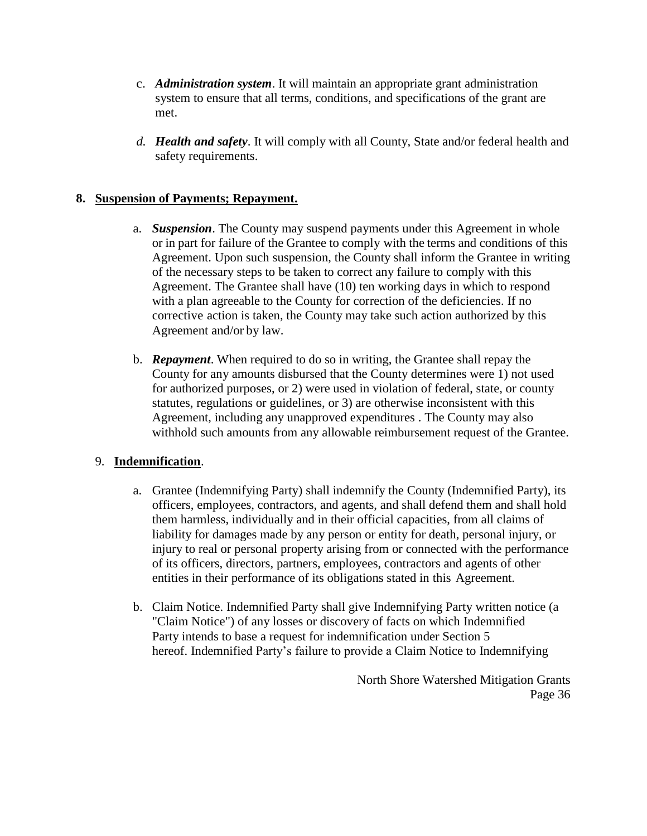- c. *Administration system*. It will maintain an appropriate grant administration system to ensure that all terms, conditions, and specifications of the grant are met.
- *d. Health and safety*. It will comply with all County, State and/or federal health and safety requirements.

#### **8. Suspension of Payments; Repayment.**

- a. *Suspension*. The County may suspend payments under this Agreement in whole or in part for failure of the Grantee to comply with the terms and conditions of this Agreement. Upon such suspension, the County shall inform the Grantee in writing of the necessary steps to be taken to correct any failure to comply with this Agreement. The Grantee shall have (10) ten working days in which to respond with a plan agreeable to the County for correction of the deficiencies. If no corrective action is taken, the County may take such action authorized by this Agreement and/or by law.
- b. *Repayment*. When required to do so in writing, the Grantee shall repay the County for any amounts disbursed that the County determines were 1) not used for authorized purposes, or 2) were used in violation of federal, state, or county statutes, regulations or guidelines, or 3) are otherwise inconsistent with this Agreement, including any unapproved expenditures . The County may also withhold such amounts from any allowable reimbursement request of the Grantee.

#### 9. **Indemnification**.

- a. Grantee (Indemnifying Party) shall indemnify the County (Indemnified Party), its officers, employees, contractors, and agents, and shall defend them and shall hold them harmless, individually and in their official capacities, from all claims of liability for damages made by any person or entity for death, personal injury, or injury to real or personal property arising from or connected with the performance of its officers, directors, partners, employees, contractors and agents of other entities in their performance of its obligations stated in this Agreement.
- b. Claim Notice. Indemnified Party shall give Indemnifying Party written notice (a "Claim Notice") of any losses or discovery of facts on which Indemnified Party intends to base a request for indemnification under Section 5 hereof. Indemnified Party's failure to provide a Claim Notice to Indemnifying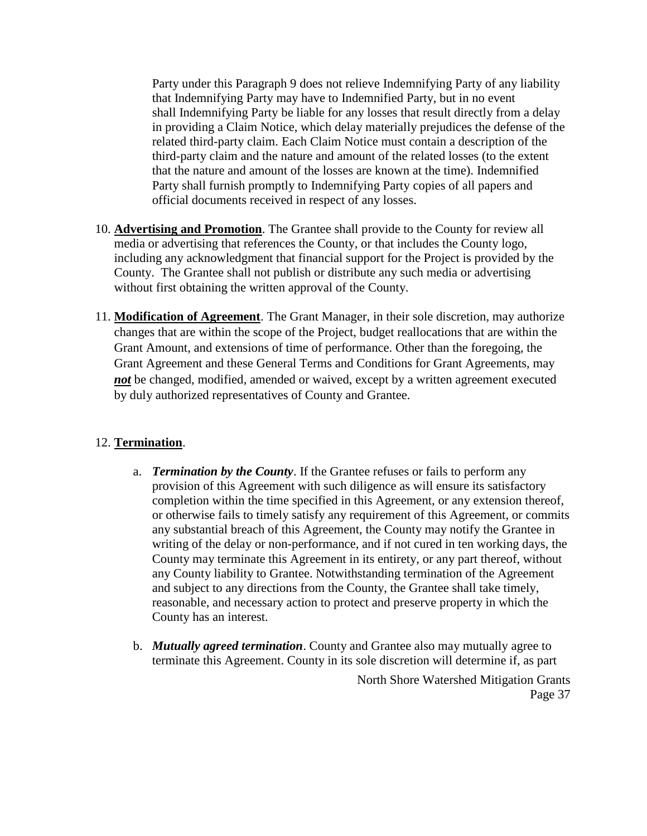Party under this Paragraph 9 does not relieve Indemnifying Party of any liability that Indemnifying Party may have to Indemnified Party, but in no event shall Indemnifying Party be liable for any losses that result directly from a delay in providing a Claim Notice, which delay materially prejudices the defense of the related third-party claim. Each Claim Notice must contain a description of the third-party claim and the nature and amount of the related losses (to the extent that the nature and amount of the losses are known at the time). Indemnified Party shall furnish promptly to Indemnifying Party copies of all papers and official documents received in respect of any losses.

- 10. **Advertising and Promotion**. The Grantee shall provide to the County for review all media or advertising that references the County, or that includes the County logo, including any acknowledgment that financial support for the Project is provided by the County. The Grantee shall not publish or distribute any such media or advertising without first obtaining the written approval of the County.
- 11. **Modification of Agreement**. The Grant Manager, in their sole discretion, may authorize changes that are within the scope of the Project, budget reallocations that are within the Grant Amount, and extensions of time of performance. Other than the foregoing, the Grant Agreement and these General Terms and Conditions for Grant Agreements, may *not* be changed, modified, amended or waived, except by a written agreement executed by duly authorized representatives of County and Grantee.

#### 12. **Termination**.

- a. *Termination by the County*. If the Grantee refuses or fails to perform any provision of this Agreement with such diligence as will ensure its satisfactory completion within the time specified in this Agreement, or any extension thereof, or otherwise fails to timely satisfy any requirement of this Agreement, or commits any substantial breach of this Agreement, the County may notify the Grantee in writing of the delay or non-performance, and if not cured in ten working days, the County may terminate this Agreement in its entirety, or any part thereof, without any County liability to Grantee. Notwithstanding termination of the Agreement and subject to any directions from the County, the Grantee shall take timely, reasonable, and necessary action to protect and preserve property in which the County has an interest.
- North Shore Watershed Mitigation Grants Page 37 b. *Mutually agreed termination*. County and Grantee also may mutually agree to terminate this Agreement. County in its sole discretion will determine if, as part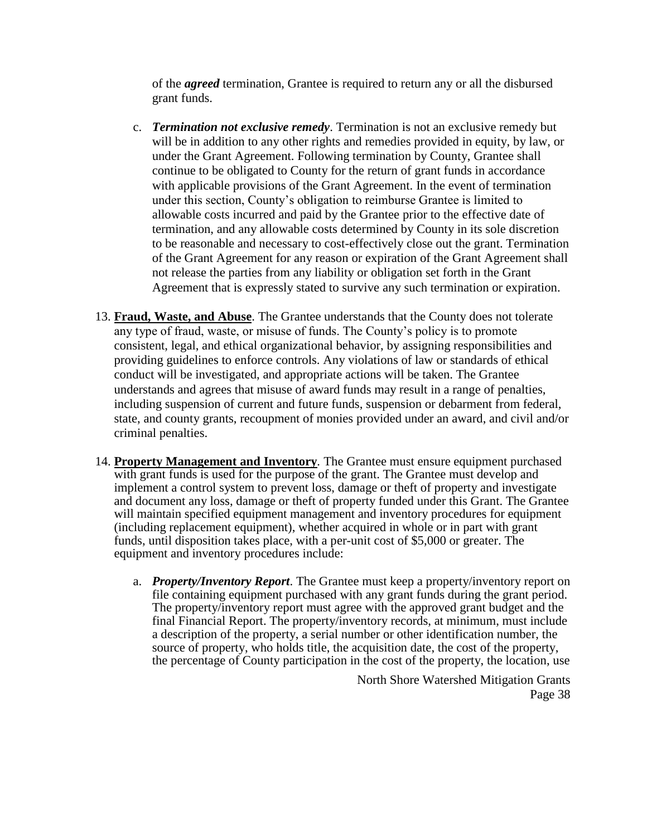of the *agreed* termination, Grantee is required to return any or all the disbursed grant funds.

- c. *Termination not exclusive remedy*. Termination is not an exclusive remedy but will be in addition to any other rights and remedies provided in equity, by law, or under the Grant Agreement. Following termination by County, Grantee shall continue to be obligated to County for the return of grant funds in accordance with applicable provisions of the Grant Agreement. In the event of termination under this section, County's obligation to reimburse Grantee is limited to allowable costs incurred and paid by the Grantee prior to the effective date of termination, and any allowable costs determined by County in its sole discretion to be reasonable and necessary to cost-effectively close out the grant. Termination of the Grant Agreement for any reason or expiration of the Grant Agreement shall not release the parties from any liability or obligation set forth in the Grant Agreement that is expressly stated to survive any such termination or expiration.
- 13. **Fraud, Waste, and Abuse**. The Grantee understands that the County does not tolerate any type of fraud, waste, or misuse of funds. The County's policy is to promote consistent, legal, and ethical organizational behavior, by assigning responsibilities and providing guidelines to enforce controls. Any violations of law or standards of ethical conduct will be investigated, and appropriate actions will be taken. The Grantee understands and agrees that misuse of award funds may result in a range of penalties, including suspension of current and future funds, suspension or debarment from federal, state, and county grants, recoupment of monies provided under an award, and civil and/or criminal penalties.
- 14. **Property Management and Inventory***.* The Grantee must ensure equipment purchased with grant funds is used for the purpose of the grant. The Grantee must develop and implement a control system to prevent loss, damage or theft of property and investigate and document any loss, damage or theft of property funded under this Grant. The Grantee will maintain specified equipment management and inventory procedures for equipment (including replacement equipment), whether acquired in whole or in part with grant funds, until disposition takes place, with a per-unit cost of \$5,000 or greater. The equipment and inventory procedures include:
	- a. *Property/Inventory Report*. The Grantee must keep a property/inventory report on file containing equipment purchased with any grant funds during the grant period. The property/inventory report must agree with the approved grant budget and the final Financial Report. The property/inventory records, at minimum, must include a description of the property, a serial number or other identification number, the source of property, who holds title, the acquisition date, the cost of the property, the percentage of County participation in the cost of the property, the location, use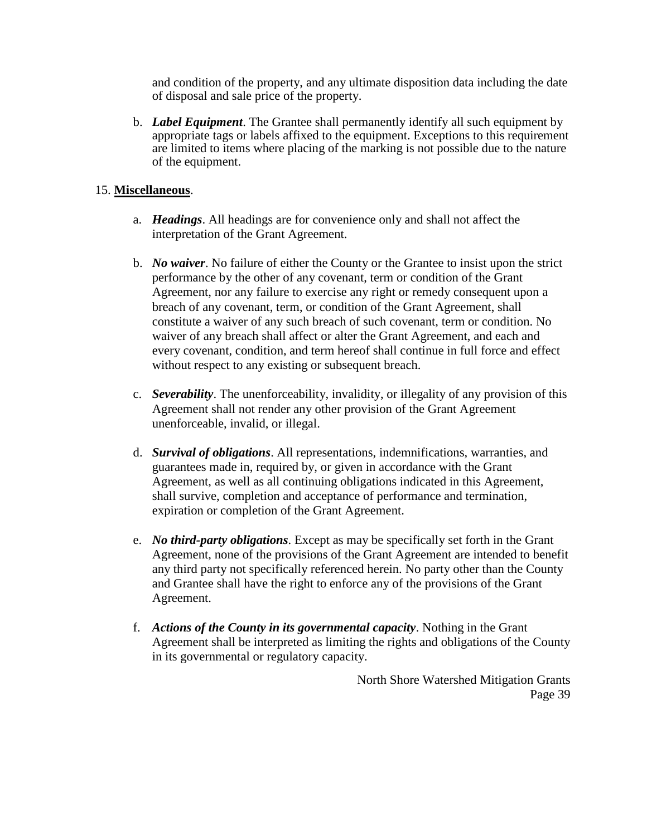and condition of the property, and any ultimate disposition data including the date of disposal and sale price of the property.

b. *Label Equipment*. The Grantee shall permanently identify all such equipment by appropriate tags or labels affixed to the equipment. Exceptions to this requirement are limited to items where placing of the marking is not possible due to the nature of the equipment.

#### 15. **Miscellaneous**.

- a. *Headings*. All headings are for convenience only and shall not affect the interpretation of the Grant Agreement.
- b. *No waiver*. No failure of either the County or the Grantee to insist upon the strict performance by the other of any covenant, term or condition of the Grant Agreement, nor any failure to exercise any right or remedy consequent upon a breach of any covenant, term, or condition of the Grant Agreement, shall constitute a waiver of any such breach of such covenant, term or condition. No waiver of any breach shall affect or alter the Grant Agreement, and each and every covenant, condition, and term hereof shall continue in full force and effect without respect to any existing or subsequent breach.
- c. *Severability*. The unenforceability, invalidity, or illegality of any provision of this Agreement shall not render any other provision of the Grant Agreement unenforceable, invalid, or illegal.
- d. *Survival of obligations*. All representations, indemnifications, warranties, and guarantees made in, required by, or given in accordance with the Grant Agreement, as well as all continuing obligations indicated in this Agreement, shall survive, completion and acceptance of performance and termination, expiration or completion of the Grant Agreement.
- e. *No third-party obligations*. Except as may be specifically set forth in the Grant Agreement, none of the provisions of the Grant Agreement are intended to benefit any third party not specifically referenced herein. No party other than the County and Grantee shall have the right to enforce any of the provisions of the Grant Agreement.
- f. *Actions of the County in its governmental capacity*. Nothing in the Grant Agreement shall be interpreted as limiting the rights and obligations of the County in its governmental or regulatory capacity.